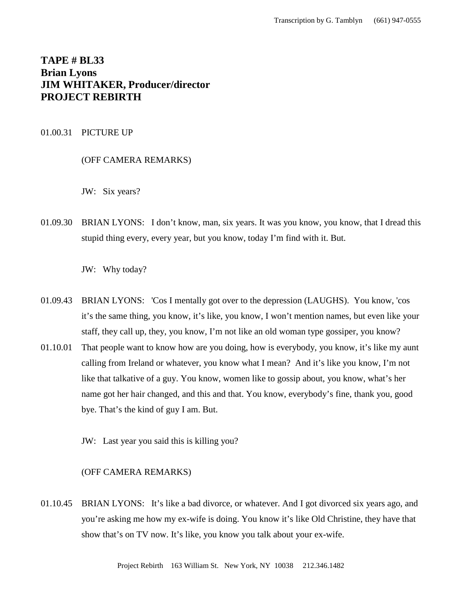# **TAPE # BL33 Brian Lyons JIM WHITAKER, Producer/director PROJECT REBIRTH**

# 01.00.31 PICTURE UP

# (OFF CAMERA REMARKS)

JW: Six years?

01.09.30 BRIAN LYONS: I don't know, man, six years. It was you know, you know, that I dread this stupid thing every, every year, but you know, today I'm find with it. But.

JW: Why today?

- 01.09.43 BRIAN LYONS: 'Cos I mentally got over to the depression (LAUGHS). You know, 'cos it's the same thing, you know, it's like, you know, I won't mention names, but even like your staff, they call up, they, you know, I'm not like an old woman type gossiper, you know?
- 01.10.01 That people want to know how are you doing, how is everybody, you know, it's like my aunt calling from Ireland or whatever, you know what I mean? And it's like you know, I'm not like that talkative of a guy. You know, women like to gossip about, you know, what's her name got her hair changed, and this and that. You know, everybody's fine, thank you, good bye. That's the kind of guy I am. But.
	- JW: Last year you said this is killing you?

# (OFF CAMERA REMARKS)

01.10.45 BRIAN LYONS: It's like a bad divorce, or whatever. And I got divorced six years ago, and you're asking me how my ex-wife is doing. You know it's like Old Christine, they have that show that's on TV now. It's like, you know you talk about your ex-wife.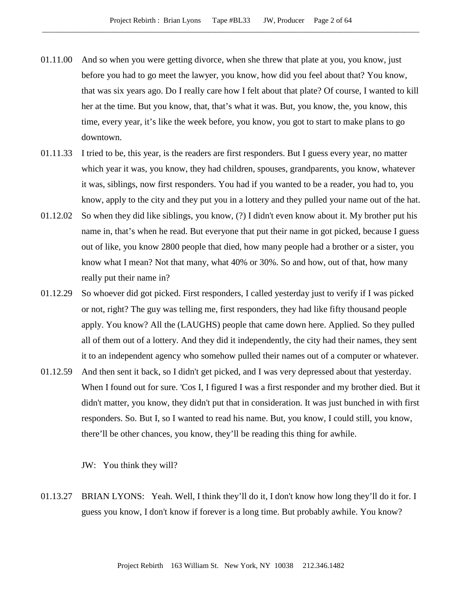- 01.11.00 And so when you were getting divorce, when she threw that plate at you, you know, just before you had to go meet the lawyer, you know, how did you feel about that? You know, that was six years ago. Do I really care how I felt about that plate? Of course, I wanted to kill her at the time. But you know, that, that's what it was. But, you know, the, you know, this time, every year, it's like the week before, you know, you got to start to make plans to go downtown.
- 01.11.33 I tried to be, this year, is the readers are first responders. But I guess every year, no matter which year it was, you know, they had children, spouses, grandparents, you know, whatever it was, siblings, now first responders. You had if you wanted to be a reader, you had to, you know, apply to the city and they put you in a lottery and they pulled your name out of the hat.
- 01.12.02 So when they did like siblings, you know, (?) I didn't even know about it. My brother put his name in, that's when he read. But everyone that put their name in got picked, because I guess out of like, you know 2800 people that died, how many people had a brother or a sister, you know what I mean? Not that many, what 40% or 30%. So and how, out of that, how many really put their name in?
- 01.12.29 So whoever did got picked. First responders, I called yesterday just to verify if I was picked or not, right? The guy was telling me, first responders, they had like fifty thousand people apply. You know? All the (LAUGHS) people that came down here. Applied. So they pulled all of them out of a lottery. And they did it independently, the city had their names, they sent it to an independent agency who somehow pulled their names out of a computer or whatever.
- 01.12.59 And then sent it back, so I didn't get picked, and I was very depressed about that yesterday. When I found out for sure. 'Cos I, I figured I was a first responder and my brother died. But it didn't matter, you know, they didn't put that in consideration. It was just bunched in with first responders. So. But I, so I wanted to read his name. But, you know, I could still, you know, there'll be other chances, you know, they'll be reading this thing for awhile.

JW: You think they will?

01.13.27 BRIAN LYONS: Yeah. Well, I think they'll do it, I don't know how long they'll do it for. I guess you know, I don't know if forever is a long time. But probably awhile. You know?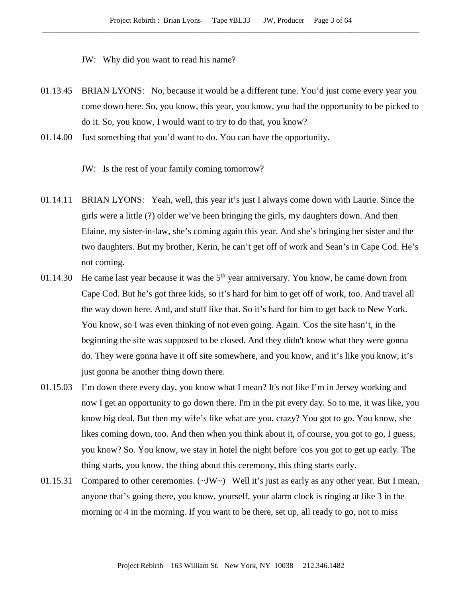JW: Why did you want to read his name?

- 01.13.45 BRIAN LYONS: No, because it would be a different tune. You'd just come every year you come down here. So, you know, this year, you know, you had the opportunity to be picked to do it. So, you know, I would want to try to do that, you know?
- 01.14.00 Just something that you'd want to do. You can have the opportunity.

JW: Is the rest of your family coming tomorrow?

- 01.14.11 BRIAN LYONS: Yeah, well, this year it's just I always come down with Laurie. Since the girls were a little (?) older we've been bringing the girls, my daughters down. And then Elaine, my sister-in-law, she's coming again this year. And she's bringing her sister and the two daughters. But my brother, Kerin, he can't get off of work and Sean's in Cape Cod. He's not coming.
- 01.14.30 He came last year because it was the  $5<sup>th</sup>$  year anniversary. You know, he came down from Cape Cod. But he's got three kids, so it's hard for him to get off of work, too. And travel all the way down here. And, and stuff like that. So it's hard for him to get back to New York. You know, so I was even thinking of not even going. Again. 'Cos the site hasn't, in the beginning the site was supposed to be closed. And they didn't know what they were gonna do. They were gonna have it off site somewhere, and you know, and it's like you know, it's just gonna be another thing down there.
- 01.15.03 I'm down there every day, you know what I mean? It's not like I'm in Jersey working and now I get an opportunity to go down there. I'm in the pit every day. So to me, it was like, you know big deal. But then my wife's like what are you, crazy? You got to go. You know, she likes coming down, too. And then when you think about it, of course, you got to go, I guess, you know? So. You know, we stay in hotel the night before 'cos you got to get up early. The thing starts, you know, the thing about this ceremony, this thing starts early.
- 01.15.31 Compared to other ceremonies. (~JW~) Well it's just as early as any other year. But I mean, anyone that's going there, you know, yourself, your alarm clock is ringing at like 3 in the morning or 4 in the morning. If you want to be there, set up, all ready to go, not to miss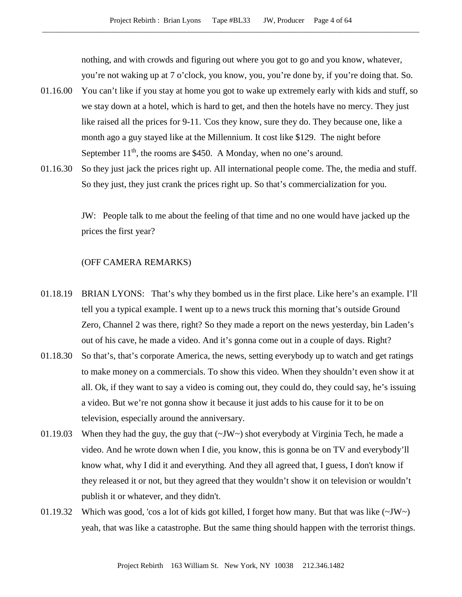nothing, and with crowds and figuring out where you got to go and you know, whatever, you're not waking up at 7 o'clock, you know, you, you're done by, if you're doing that. So.

- 01.16.00 You can't like if you stay at home you got to wake up extremely early with kids and stuff, so we stay down at a hotel, which is hard to get, and then the hotels have no mercy. They just like raised all the prices for 9-11. 'Cos they know, sure they do. They because one, like a month ago a guy stayed like at the Millennium. It cost like \$129. The night before September  $11<sup>th</sup>$ , the rooms are \$450. A Monday, when no one's around.
- 01.16.30 So they just jack the prices right up. All international people come. The, the media and stuff. So they just, they just crank the prices right up. So that's commercialization for you.

JW: People talk to me about the feeling of that time and no one would have jacked up the prices the first year?

# (OFF CAMERA REMARKS)

- 01.18.19 BRIAN LYONS: That's why they bombed us in the first place. Like here's an example. I'll tell you a typical example. I went up to a news truck this morning that's outside Ground Zero, Channel 2 was there, right? So they made a report on the news yesterday, bin Laden's out of his cave, he made a video. And it's gonna come out in a couple of days. Right?
- 01.18.30 So that's, that's corporate America, the news, setting everybody up to watch and get ratings to make money on a commercials. To show this video. When they shouldn't even show it at all. Ok, if they want to say a video is coming out, they could do, they could say, he's issuing a video. But we're not gonna show it because it just adds to his cause for it to be on television, especially around the anniversary.
- 01.19.03 When they had the guy, the guy that (~JW~) shot everybody at Virginia Tech, he made a video. And he wrote down when I die, you know, this is gonna be on TV and everybody'll know what, why I did it and everything. And they all agreed that, I guess, I don't know if they released it or not, but they agreed that they wouldn't show it on television or wouldn't publish it or whatever, and they didn't.
- 01.19.32 Which was good, 'cos a lot of kids got killed, I forget how many. But that was like (~JW~) yeah, that was like a catastrophe. But the same thing should happen with the terrorist things.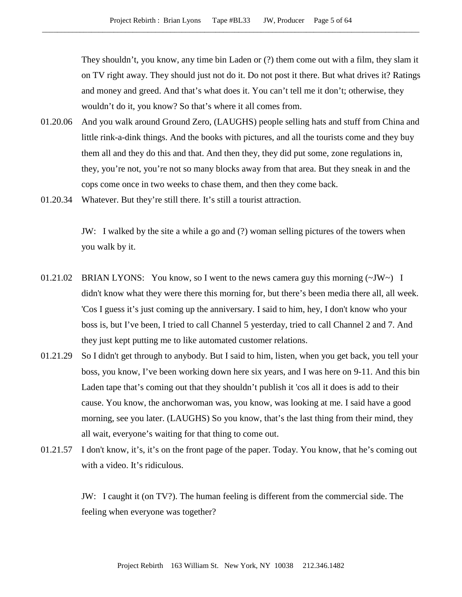They shouldn't, you know, any time bin Laden or (?) them come out with a film, they slam it on TV right away. They should just not do it. Do not post it there. But what drives it? Ratings and money and greed. And that's what does it. You can't tell me it don't; otherwise, they wouldn't do it, you know? So that's where it all comes from.

- 01.20.06 And you walk around Ground Zero, (LAUGHS) people selling hats and stuff from China and little rink-a-dink things. And the books with pictures, and all the tourists come and they buy them all and they do this and that. And then they, they did put some, zone regulations in, they, you're not, you're not so many blocks away from that area. But they sneak in and the cops come once in two weeks to chase them, and then they come back.
- 01.20.34 Whatever. But they're still there. It's still a tourist attraction.

JW: I walked by the site a while a go and (?) woman selling pictures of the towers when you walk by it.

- 01.21.02 BRIAN LYONS: You know, so I went to the news camera guy this morning  $(\sim JW \sim)$  I didn't know what they were there this morning for, but there's been media there all, all week. 'Cos I guess it's just coming up the anniversary. I said to him, hey, I don't know who your boss is, but I've been, I tried to call Channel 5 yesterday, tried to call Channel 2 and 7. And they just kept putting me to like automated customer relations.
- 01.21.29 So I didn't get through to anybody. But I said to him, listen, when you get back, you tell your boss, you know, I've been working down here six years, and I was here on 9-11. And this bin Laden tape that's coming out that they shouldn't publish it 'cos all it does is add to their cause. You know, the anchorwoman was, you know, was looking at me. I said have a good morning, see you later. (LAUGHS) So you know, that's the last thing from their mind, they all wait, everyone's waiting for that thing to come out.
- 01.21.57 I don't know, it's, it's on the front page of the paper. Today. You know, that he's coming out with a video. It's ridiculous.

JW: I caught it (on TV?). The human feeling is different from the commercial side. The feeling when everyone was together?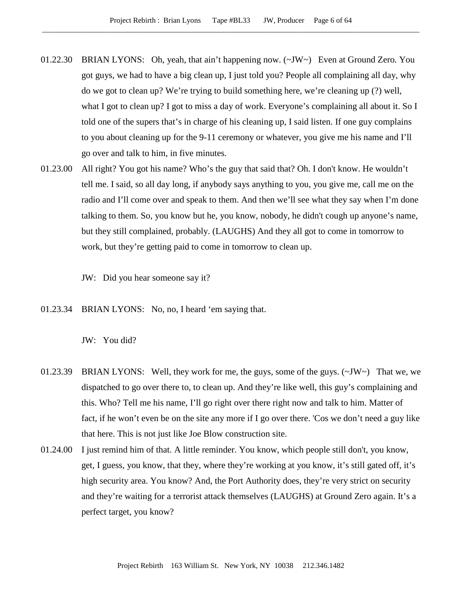- 01.22.30 BRIAN LYONS: Oh, yeah, that ain't happening now. (~JW~) Even at Ground Zero. You got guys, we had to have a big clean up, I just told you? People all complaining all day, why do we got to clean up? We're trying to build something here, we're cleaning up (?) well, what I got to clean up? I got to miss a day of work. Everyone's complaining all about it. So I told one of the supers that's in charge of his cleaning up, I said listen. If one guy complains to you about cleaning up for the 9-11 ceremony or whatever, you give me his name and I'll go over and talk to him, in five minutes.
- 01.23.00 All right? You got his name? Who's the guy that said that? Oh. I don't know. He wouldn't tell me. I said, so all day long, if anybody says anything to you, you give me, call me on the radio and I'll come over and speak to them. And then we'll see what they say when I'm done talking to them. So, you know but he, you know, nobody, he didn't cough up anyone's name, but they still complained, probably. (LAUGHS) And they all got to come in tomorrow to work, but they're getting paid to come in tomorrow to clean up.

JW: Did you hear someone say it?

01.23.34 BRIAN LYONS: No, no, I heard 'em saying that.

JW: You did?

- 01.23.39 BRIAN LYONS: Well, they work for me, the guys, some of the guys.  $(\sim JW \sim)$  That we, we dispatched to go over there to, to clean up. And they're like well, this guy's complaining and this. Who? Tell me his name, I'll go right over there right now and talk to him. Matter of fact, if he won't even be on the site any more if I go over there. 'Cos we don't need a guy like that here. This is not just like Joe Blow construction site.
- 01.24.00 I just remind him of that. A little reminder. You know, which people still don't, you know, get, I guess, you know, that they, where they're working at you know, it's still gated off, it's high security area. You know? And, the Port Authority does, they're very strict on security and they're waiting for a terrorist attack themselves (LAUGHS) at Ground Zero again. It's a perfect target, you know?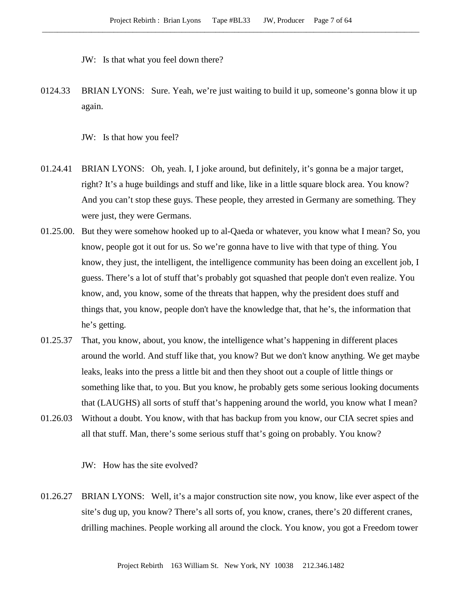- JW: Is that what you feel down there?
- 0124.33 BRIAN LYONS: Sure. Yeah, we're just waiting to build it up, someone's gonna blow it up again.
	- JW: Is that how you feel?
- 01.24.41 BRIAN LYONS: Oh, yeah. I, I joke around, but definitely, it's gonna be a major target, right? It's a huge buildings and stuff and like, like in a little square block area. You know? And you can't stop these guys. These people, they arrested in Germany are something. They were just, they were Germans.
- 01.25.00. But they were somehow hooked up to al-Qaeda or whatever, you know what I mean? So, you know, people got it out for us. So we're gonna have to live with that type of thing. You know, they just, the intelligent, the intelligence community has been doing an excellent job, I guess. There's a lot of stuff that's probably got squashed that people don't even realize. You know, and, you know, some of the threats that happen, why the president does stuff and things that, you know, people don't have the knowledge that, that he's, the information that he's getting.
- 01.25.37 That, you know, about, you know, the intelligence what's happening in different places around the world. And stuff like that, you know? But we don't know anything. We get maybe leaks, leaks into the press a little bit and then they shoot out a couple of little things or something like that, to you. But you know, he probably gets some serious looking documents that (LAUGHS) all sorts of stuff that's happening around the world, you know what I mean?
- 01.26.03 Without a doubt. You know, with that has backup from you know, our CIA secret spies and all that stuff. Man, there's some serious stuff that's going on probably. You know?

JW: How has the site evolved?

01.26.27 BRIAN LYONS: Well, it's a major construction site now, you know, like ever aspect of the site's dug up, you know? There's all sorts of, you know, cranes, there's 20 different cranes, drilling machines. People working all around the clock. You know, you got a Freedom tower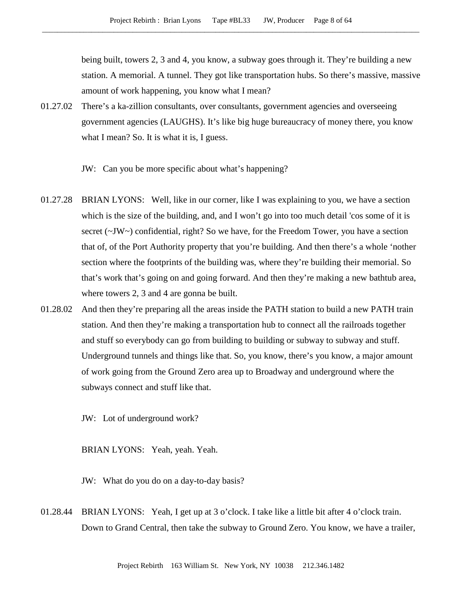being built, towers 2, 3 and 4, you know, a subway goes through it. They're building a new station. A memorial. A tunnel. They got like transportation hubs. So there's massive, massive amount of work happening, you know what I mean?

- 01.27.02 There's a ka-zillion consultants, over consultants, government agencies and overseeing government agencies (LAUGHS). It's like big huge bureaucracy of money there, you know what I mean? So. It is what it is, I guess.
	- JW: Can you be more specific about what's happening?
- 01.27.28 BRIAN LYONS: Well, like in our corner, like I was explaining to you, we have a section which is the size of the building, and, and I won't go into too much detail 'cos some of it is secret ( $\sim$ JW $\sim$ ) confidential, right? So we have, for the Freedom Tower, you have a section that of, of the Port Authority property that you're building. And then there's a whole 'nother section where the footprints of the building was, where they're building their memorial. So that's work that's going on and going forward. And then they're making a new bathtub area, where towers 2, 3 and 4 are gonna be built.
- 01.28.02 And then they're preparing all the areas inside the PATH station to build a new PATH train station. And then they're making a transportation hub to connect all the railroads together and stuff so everybody can go from building to building or subway to subway and stuff. Underground tunnels and things like that. So, you know, there's you know, a major amount of work going from the Ground Zero area up to Broadway and underground where the subways connect and stuff like that.
	- JW: Lot of underground work?

BRIAN LYONS: Yeah, yeah. Yeah.

- JW: What do you do on a day-to-day basis?
- 01.28.44 BRIAN LYONS: Yeah, I get up at 3 o'clock. I take like a little bit after 4 o'clock train. Down to Grand Central, then take the subway to Ground Zero. You know, we have a trailer,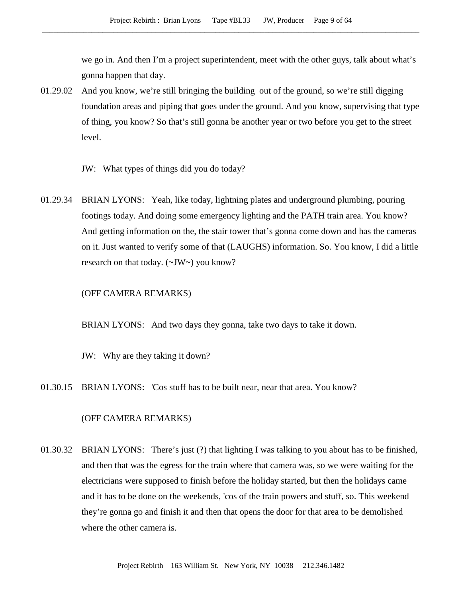we go in. And then I'm a project superintendent, meet with the other guys, talk about what's gonna happen that day.

- 01.29.02 And you know, we're still bringing the building out of the ground, so we're still digging foundation areas and piping that goes under the ground. And you know, supervising that type of thing, you know? So that's still gonna be another year or two before you get to the street level.
	- JW: What types of things did you do today?
- 01.29.34 BRIAN LYONS: Yeah, like today, lightning plates and underground plumbing, pouring footings today. And doing some emergency lighting and the PATH train area. You know? And getting information on the, the stair tower that's gonna come down and has the cameras on it. Just wanted to verify some of that (LAUGHS) information. So. You know, I did a little research on that today. (~JW~) you know?

#### (OFF CAMERA REMARKS)

BRIAN LYONS: And two days they gonna, take two days to take it down.

JW: Why are they taking it down?

01.30.15 BRIAN LYONS: 'Cos stuff has to be built near, near that area. You know?

## (OFF CAMERA REMARKS)

01.30.32 BRIAN LYONS: There's just (?) that lighting I was talking to you about has to be finished, and then that was the egress for the train where that camera was, so we were waiting for the electricians were supposed to finish before the holiday started, but then the holidays came and it has to be done on the weekends, 'cos of the train powers and stuff, so. This weekend they're gonna go and finish it and then that opens the door for that area to be demolished where the other camera is.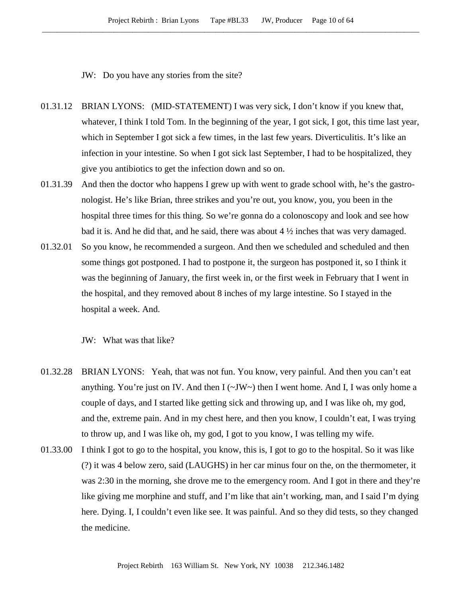JW: Do you have any stories from the site?

- 01.31.12 BRIAN LYONS: (MID-STATEMENT) I was very sick, I don't know if you knew that, whatever, I think I told Tom. In the beginning of the year, I got sick, I got, this time last year, which in September I got sick a few times, in the last few years. Diverticulitis. It's like an infection in your intestine. So when I got sick last September, I had to be hospitalized, they give you antibiotics to get the infection down and so on.
- 01.31.39 And then the doctor who happens I grew up with went to grade school with, he's the gastronologist. He's like Brian, three strikes and you're out, you know, you, you been in the hospital three times for this thing. So we're gonna do a colonoscopy and look and see how bad it is. And he did that, and he said, there was about  $4\frac{1}{2}$  inches that was very damaged.
- 01.32.01 So you know, he recommended a surgeon. And then we scheduled and scheduled and then some things got postponed. I had to postpone it, the surgeon has postponed it, so I think it was the beginning of January, the first week in, or the first week in February that I went in the hospital, and they removed about 8 inches of my large intestine. So I stayed in the hospital a week. And.

JW: What was that like?

- 01.32.28 BRIAN LYONS: Yeah, that was not fun. You know, very painful. And then you can't eat anything. You're just on IV. And then  $I(\sim JW\sim)$  then I went home. And I, I was only home a couple of days, and I started like getting sick and throwing up, and I was like oh, my god, and the, extreme pain. And in my chest here, and then you know, I couldn't eat, I was trying to throw up, and I was like oh, my god, I got to you know, I was telling my wife.
- 01.33.00 I think I got to go to the hospital, you know, this is, I got to go to the hospital. So it was like (?) it was 4 below zero, said (LAUGHS) in her car minus four on the, on the thermometer, it was 2:30 in the morning, she drove me to the emergency room. And I got in there and they're like giving me morphine and stuff, and I'm like that ain't working, man, and I said I'm dying here. Dying. I, I couldn't even like see. It was painful. And so they did tests, so they changed the medicine.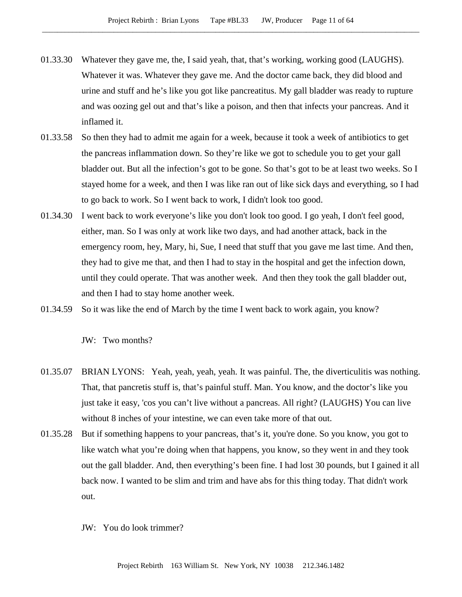- 01.33.30 Whatever they gave me, the, I said yeah, that, that's working, working good (LAUGHS). Whatever it was. Whatever they gave me. And the doctor came back, they did blood and urine and stuff and he's like you got like pancreatitus. My gall bladder was ready to rupture and was oozing gel out and that's like a poison, and then that infects your pancreas. And it inflamed it.
- 01.33.58 So then they had to admit me again for a week, because it took a week of antibiotics to get the pancreas inflammation down. So they're like we got to schedule you to get your gall bladder out. But all the infection's got to be gone. So that's got to be at least two weeks. So I stayed home for a week, and then I was like ran out of like sick days and everything, so I had to go back to work. So I went back to work, I didn't look too good.
- 01.34.30 I went back to work everyone's like you don't look too good. I go yeah, I don't feel good, either, man. So I was only at work like two days, and had another attack, back in the emergency room, hey, Mary, hi, Sue, I need that stuff that you gave me last time. And then, they had to give me that, and then I had to stay in the hospital and get the infection down, until they could operate. That was another week. And then they took the gall bladder out, and then I had to stay home another week.
- 01.34.59 So it was like the end of March by the time I went back to work again, you know?

JW: Two months?

- 01.35.07 BRIAN LYONS: Yeah, yeah, yeah, yeah. It was painful. The, the diverticulitis was nothing. That, that pancretis stuff is, that's painful stuff. Man. You know, and the doctor's like you just take it easy, 'cos you can't live without a pancreas. All right? (LAUGHS) You can live without 8 inches of your intestine, we can even take more of that out.
- 01.35.28 But if something happens to your pancreas, that's it, you're done. So you know, you got to like watch what you're doing when that happens, you know, so they went in and they took out the gall bladder. And, then everything's been fine. I had lost 30 pounds, but I gained it all back now. I wanted to be slim and trim and have abs for this thing today. That didn't work out.
	- JW: You do look trimmer?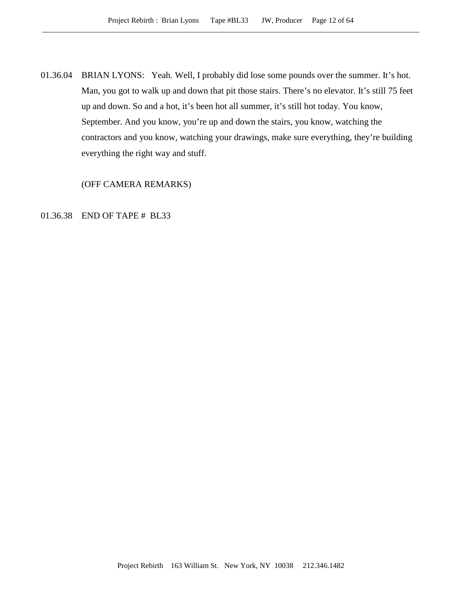01.36.04 BRIAN LYONS: Yeah. Well, I probably did lose some pounds over the summer. It's hot. Man, you got to walk up and down that pit those stairs. There's no elevator. It's still 75 feet up and down. So and a hot, it's been hot all summer, it's still hot today. You know, September. And you know, you're up and down the stairs, you know, watching the contractors and you know, watching your drawings, make sure everything, they're building everything the right way and stuff.

(OFF CAMERA REMARKS)

# 01.36.38 END OF TAPE # BL33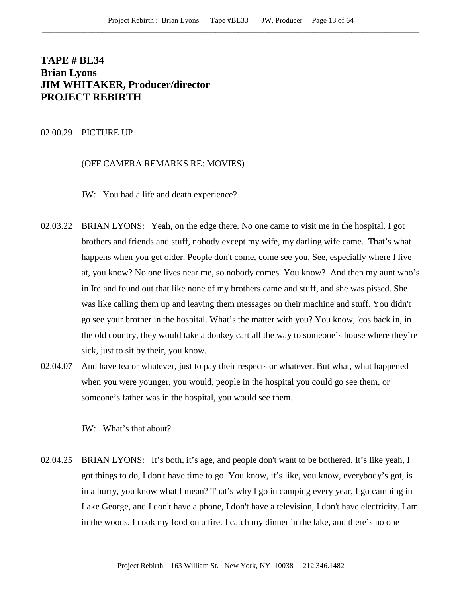# **TAPE # BL34 Brian Lyons JIM WHITAKER, Producer/director PROJECT REBIRTH**

## 02.00.29 PICTURE UP

## (OFF CAMERA REMARKS RE: MOVIES)

JW: You had a life and death experience?

- 02.03.22 BRIAN LYONS: Yeah, on the edge there. No one came to visit me in the hospital. I got brothers and friends and stuff, nobody except my wife, my darling wife came. That's what happens when you get older. People don't come, come see you. See, especially where I live at, you know? No one lives near me, so nobody comes. You know? And then my aunt who's in Ireland found out that like none of my brothers came and stuff, and she was pissed. She was like calling them up and leaving them messages on their machine and stuff. You didn't go see your brother in the hospital. What's the matter with you? You know, 'cos back in, in the old country, they would take a donkey cart all the way to someone's house where they're sick, just to sit by their, you know.
- 02.04.07 And have tea or whatever, just to pay their respects or whatever. But what, what happened when you were younger, you would, people in the hospital you could go see them, or someone's father was in the hospital, you would see them.

JW: What's that about?

02.04.25 BRIAN LYONS: It's both, it's age, and people don't want to be bothered. It's like yeah, I got things to do, I don't have time to go. You know, it's like, you know, everybody's got, is in a hurry, you know what I mean? That's why I go in camping every year, I go camping in Lake George, and I don't have a phone, I don't have a television, I don't have electricity. I am in the woods. I cook my food on a fire. I catch my dinner in the lake, and there's no one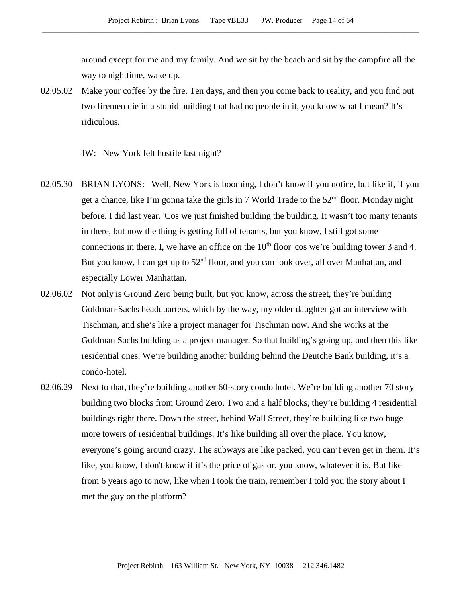around except for me and my family. And we sit by the beach and sit by the campfire all the way to nighttime, wake up.

02.05.02 Make your coffee by the fire. Ten days, and then you come back to reality, and you find out two firemen die in a stupid building that had no people in it, you know what I mean? It's ridiculous.

JW: New York felt hostile last night?

- 02.05.30 BRIAN LYONS: Well, New York is booming, I don't know if you notice, but like if, if you get a chance, like I'm gonna take the girls in 7 World Trade to the  $52<sup>nd</sup>$  floor. Monday night before. I did last year. 'Cos we just finished building the building. It wasn't too many tenants in there, but now the thing is getting full of tenants, but you know, I still got some connections in there, I, we have an office on the  $10<sup>th</sup>$  floor 'cos we're building tower 3 and 4. But you know, I can get up to  $52<sup>nd</sup>$  floor, and you can look over, all over Manhattan, and especially Lower Manhattan.
- 02.06.02 Not only is Ground Zero being built, but you know, across the street, they're building Goldman-Sachs headquarters, which by the way, my older daughter got an interview with Tischman, and she's like a project manager for Tischman now. And she works at the Goldman Sachs building as a project manager. So that building's going up, and then this like residential ones. We're building another building behind the Deutche Bank building, it's a condo-hotel.
- 02.06.29 Next to that, they're building another 60-story condo hotel. We're building another 70 story building two blocks from Ground Zero. Two and a half blocks, they're building 4 residential buildings right there. Down the street, behind Wall Street, they're building like two huge more towers of residential buildings. It's like building all over the place. You know, everyone's going around crazy. The subways are like packed, you can't even get in them. It's like, you know, I don't know if it's the price of gas or, you know, whatever it is. But like from 6 years ago to now, like when I took the train, remember I told you the story about I met the guy on the platform?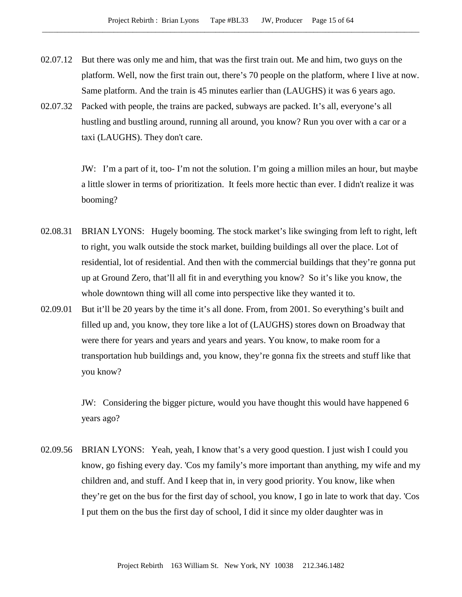- 02.07.12 But there was only me and him, that was the first train out. Me and him, two guys on the platform. Well, now the first train out, there's 70 people on the platform, where I live at now. Same platform. And the train is 45 minutes earlier than (LAUGHS) it was 6 years ago.
- 02.07.32 Packed with people, the trains are packed, subways are packed. It's all, everyone's all hustling and bustling around, running all around, you know? Run you over with a car or a taxi (LAUGHS). They don't care.

JW: I'm a part of it, too- I'm not the solution. I'm going a million miles an hour, but maybe a little slower in terms of prioritization. It feels more hectic than ever. I didn't realize it was booming?

- 02.08.31 BRIAN LYONS: Hugely booming. The stock market's like swinging from left to right, left to right, you walk outside the stock market, building buildings all over the place. Lot of residential, lot of residential. And then with the commercial buildings that they're gonna put up at Ground Zero, that'll all fit in and everything you know? So it's like you know, the whole downtown thing will all come into perspective like they wanted it to.
- 02.09.01 But it'll be 20 years by the time it's all done. From, from 2001. So everything's built and filled up and, you know, they tore like a lot of (LAUGHS) stores down on Broadway that were there for years and years and years and years. You know, to make room for a transportation hub buildings and, you know, they're gonna fix the streets and stuff like that you know?

JW: Considering the bigger picture, would you have thought this would have happened 6 years ago?

02.09.56 BRIAN LYONS: Yeah, yeah, I know that's a very good question. I just wish I could you know, go fishing every day. 'Cos my family's more important than anything, my wife and my children and, and stuff. And I keep that in, in very good priority. You know, like when they're get on the bus for the first day of school, you know, I go in late to work that day. 'Cos I put them on the bus the first day of school, I did it since my older daughter was in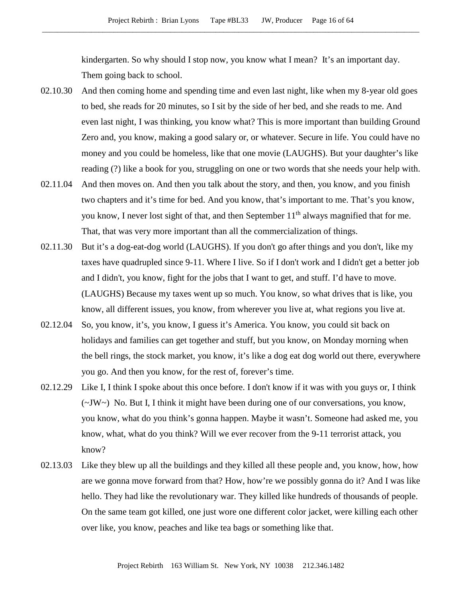kindergarten. So why should I stop now, you know what I mean? It's an important day. Them going back to school.

- 02.10.30 And then coming home and spending time and even last night, like when my 8-year old goes to bed, she reads for 20 minutes, so I sit by the side of her bed, and she reads to me. And even last night, I was thinking, you know what? This is more important than building Ground Zero and, you know, making a good salary or, or whatever. Secure in life. You could have no money and you could be homeless, like that one movie (LAUGHS). But your daughter's like reading (?) like a book for you, struggling on one or two words that she needs your help with.
- 02.11.04 And then moves on. And then you talk about the story, and then, you know, and you finish two chapters and it's time for bed. And you know, that's important to me. That's you know, you know, I never lost sight of that, and then September  $11<sup>th</sup>$  always magnified that for me. That, that was very more important than all the commercialization of things.
- 02.11.30 But it's a dog-eat-dog world (LAUGHS). If you don't go after things and you don't, like my taxes have quadrupled since 9-11. Where I live. So if I don't work and I didn't get a better job and I didn't, you know, fight for the jobs that I want to get, and stuff. I'd have to move. (LAUGHS) Because my taxes went up so much. You know, so what drives that is like, you know, all different issues, you know, from wherever you live at, what regions you live at.
- 02.12.04 So, you know, it's, you know, I guess it's America. You know, you could sit back on holidays and families can get together and stuff, but you know, on Monday morning when the bell rings, the stock market, you know, it's like a dog eat dog world out there, everywhere you go. And then you know, for the rest of, forever's time.
- 02.12.29 Like I, I think I spoke about this once before. I don't know if it was with you guys or, I think (~JW~) No. But I, I think it might have been during one of our conversations, you know, you know, what do you think's gonna happen. Maybe it wasn't. Someone had asked me, you know, what, what do you think? Will we ever recover from the 9-11 terrorist attack, you know?
- 02.13.03 Like they blew up all the buildings and they killed all these people and, you know, how, how are we gonna move forward from that? How, how're we possibly gonna do it? And I was like hello. They had like the revolutionary war. They killed like hundreds of thousands of people. On the same team got killed, one just wore one different color jacket, were killing each other over like, you know, peaches and like tea bags or something like that.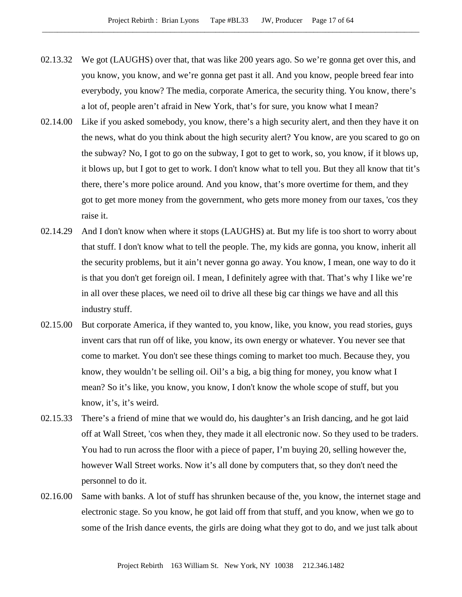- 02.13.32 We got (LAUGHS) over that, that was like 200 years ago. So we're gonna get over this, and you know, you know, and we're gonna get past it all. And you know, people breed fear into everybody, you know? The media, corporate America, the security thing. You know, there's a lot of, people aren't afraid in New York, that's for sure, you know what I mean?
- 02.14.00 Like if you asked somebody, you know, there's a high security alert, and then they have it on the news, what do you think about the high security alert? You know, are you scared to go on the subway? No, I got to go on the subway, I got to get to work, so, you know, if it blows up, it blows up, but I got to get to work. I don't know what to tell you. But they all know that tit's there, there's more police around. And you know, that's more overtime for them, and they got to get more money from the government, who gets more money from our taxes, 'cos they raise it.
- 02.14.29 And I don't know when where it stops (LAUGHS) at. But my life is too short to worry about that stuff. I don't know what to tell the people. The, my kids are gonna, you know, inherit all the security problems, but it ain't never gonna go away. You know, I mean, one way to do it is that you don't get foreign oil. I mean, I definitely agree with that. That's why I like we're in all over these places, we need oil to drive all these big car things we have and all this industry stuff.
- 02.15.00 But corporate America, if they wanted to, you know, like, you know, you read stories, guys invent cars that run off of like, you know, its own energy or whatever. You never see that come to market. You don't see these things coming to market too much. Because they, you know, they wouldn't be selling oil. Oil's a big, a big thing for money, you know what I mean? So it's like, you know, you know, I don't know the whole scope of stuff, but you know, it's, it's weird.
- 02.15.33 There's a friend of mine that we would do, his daughter's an Irish dancing, and he got laid off at Wall Street, 'cos when they, they made it all electronic now. So they used to be traders. You had to run across the floor with a piece of paper, I'm buying 20, selling however the, however Wall Street works. Now it's all done by computers that, so they don't need the personnel to do it.
- 02.16.00 Same with banks. A lot of stuff has shrunken because of the, you know, the internet stage and electronic stage. So you know, he got laid off from that stuff, and you know, when we go to some of the Irish dance events, the girls are doing what they got to do, and we just talk about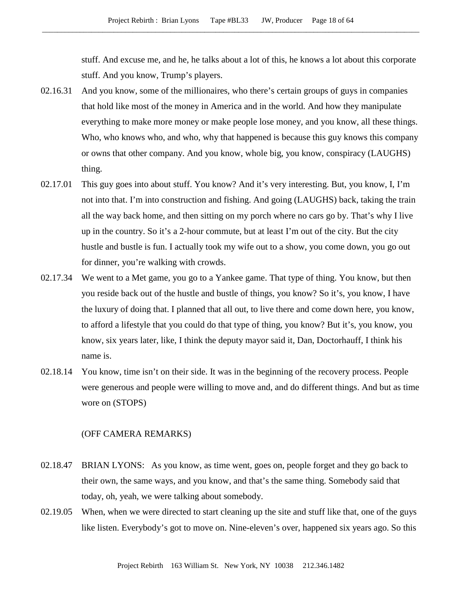stuff. And excuse me, and he, he talks about a lot of this, he knows a lot about this corporate stuff. And you know, Trump's players.

- 02.16.31 And you know, some of the millionaires, who there's certain groups of guys in companies that hold like most of the money in America and in the world. And how they manipulate everything to make more money or make people lose money, and you know, all these things. Who, who knows who, and who, why that happened is because this guy knows this company or owns that other company. And you know, whole big, you know, conspiracy (LAUGHS) thing.
- 02.17.01 This guy goes into about stuff. You know? And it's very interesting. But, you know, I, I'm not into that. I'm into construction and fishing. And going (LAUGHS) back, taking the train all the way back home, and then sitting on my porch where no cars go by. That's why I live up in the country. So it's a 2-hour commute, but at least I'm out of the city. But the city hustle and bustle is fun. I actually took my wife out to a show, you come down, you go out for dinner, you're walking with crowds.
- 02.17.34 We went to a Met game, you go to a Yankee game. That type of thing. You know, but then you reside back out of the hustle and bustle of things, you know? So it's, you know, I have the luxury of doing that. I planned that all out, to live there and come down here, you know, to afford a lifestyle that you could do that type of thing, you know? But it's, you know, you know, six years later, like, I think the deputy mayor said it, Dan, Doctorhauff, I think his name is.
- 02.18.14 You know, time isn't on their side. It was in the beginning of the recovery process. People were generous and people were willing to move and, and do different things. And but as time wore on (STOPS)

### (OFF CAMERA REMARKS)

- 02.18.47 BRIAN LYONS: As you know, as time went, goes on, people forget and they go back to their own, the same ways, and you know, and that's the same thing. Somebody said that today, oh, yeah, we were talking about somebody.
- 02.19.05 When, when we were directed to start cleaning up the site and stuff like that, one of the guys like listen. Everybody's got to move on. Nine-eleven's over, happened six years ago. So this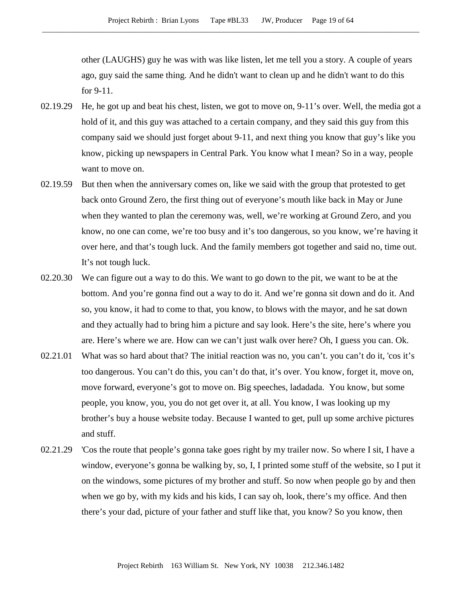other (LAUGHS) guy he was with was like listen, let me tell you a story. A couple of years ago, guy said the same thing. And he didn't want to clean up and he didn't want to do this for 9-11.

- 02.19.29 He, he got up and beat his chest, listen, we got to move on, 9-11's over. Well, the media got a hold of it, and this guy was attached to a certain company, and they said this guy from this company said we should just forget about 9-11, and next thing you know that guy's like you know, picking up newspapers in Central Park. You know what I mean? So in a way, people want to move on.
- 02.19.59 But then when the anniversary comes on, like we said with the group that protested to get back onto Ground Zero, the first thing out of everyone's mouth like back in May or June when they wanted to plan the ceremony was, well, we're working at Ground Zero, and you know, no one can come, we're too busy and it's too dangerous, so you know, we're having it over here, and that's tough luck. And the family members got together and said no, time out. It's not tough luck.
- 02.20.30 We can figure out a way to do this. We want to go down to the pit, we want to be at the bottom. And you're gonna find out a way to do it. And we're gonna sit down and do it. And so, you know, it had to come to that, you know, to blows with the mayor, and he sat down and they actually had to bring him a picture and say look. Here's the site, here's where you are. Here's where we are. How can we can't just walk over here? Oh, I guess you can. Ok.
- 02.21.01 What was so hard about that? The initial reaction was no, you can't. you can't do it, 'cos it's too dangerous. You can't do this, you can't do that, it's over. You know, forget it, move on, move forward, everyone's got to move on. Big speeches, ladadada. You know, but some people, you know, you, you do not get over it, at all. You know, I was looking up my brother's buy a house website today. Because I wanted to get, pull up some archive pictures and stuff.
- 02.21.29 'Cos the route that people's gonna take goes right by my trailer now. So where I sit, I have a window, everyone's gonna be walking by, so, I, I printed some stuff of the website, so I put it on the windows, some pictures of my brother and stuff. So now when people go by and then when we go by, with my kids and his kids, I can say oh, look, there's my office. And then there's your dad, picture of your father and stuff like that, you know? So you know, then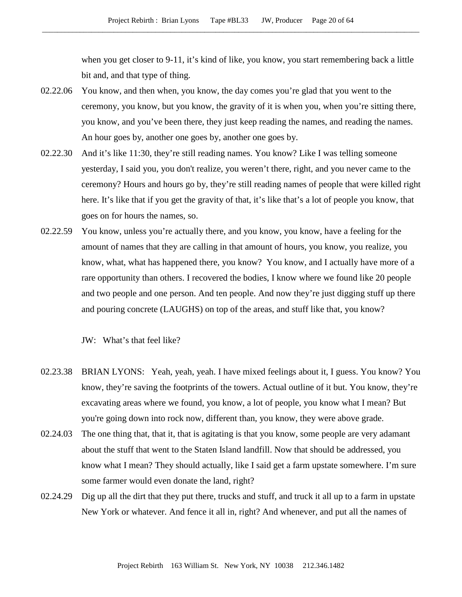when you get closer to 9-11, it's kind of like, you know, you start remembering back a little bit and, and that type of thing.

- 02.22.06 You know, and then when, you know, the day comes you're glad that you went to the ceremony, you know, but you know, the gravity of it is when you, when you're sitting there, you know, and you've been there, they just keep reading the names, and reading the names. An hour goes by, another one goes by, another one goes by.
- 02.22.30 And it's like 11:30, they're still reading names. You know? Like I was telling someone yesterday, I said you, you don't realize, you weren't there, right, and you never came to the ceremony? Hours and hours go by, they're still reading names of people that were killed right here. It's like that if you get the gravity of that, it's like that's a lot of people you know, that goes on for hours the names, so.
- 02.22.59 You know, unless you're actually there, and you know, you know, have a feeling for the amount of names that they are calling in that amount of hours, you know, you realize, you know, what, what has happened there, you know? You know, and I actually have more of a rare opportunity than others. I recovered the bodies, I know where we found like 20 people and two people and one person. And ten people. And now they're just digging stuff up there and pouring concrete (LAUGHS) on top of the areas, and stuff like that, you know?

JW: What's that feel like?

- 02.23.38 BRIAN LYONS: Yeah, yeah, yeah. I have mixed feelings about it, I guess. You know? You know, they're saving the footprints of the towers. Actual outline of it but. You know, they're excavating areas where we found, you know, a lot of people, you know what I mean? But you're going down into rock now, different than, you know, they were above grade.
- 02.24.03 The one thing that, that it, that is agitating is that you know, some people are very adamant about the stuff that went to the Staten Island landfill. Now that should be addressed, you know what I mean? They should actually, like I said get a farm upstate somewhere. I'm sure some farmer would even donate the land, right?
- 02.24.29 Dig up all the dirt that they put there, trucks and stuff, and truck it all up to a farm in upstate New York or whatever. And fence it all in, right? And whenever, and put all the names of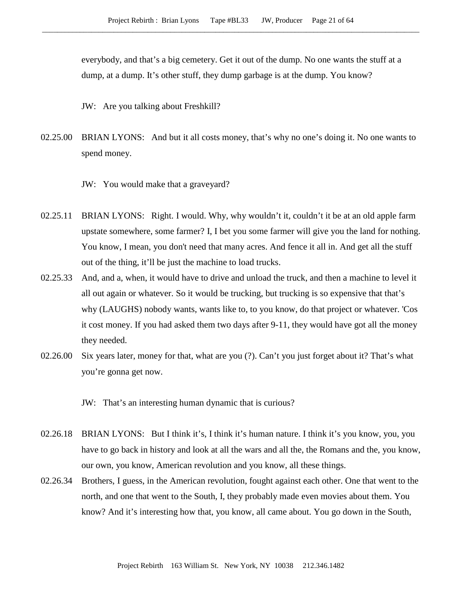everybody, and that's a big cemetery. Get it out of the dump. No one wants the stuff at a dump, at a dump. It's other stuff, they dump garbage is at the dump. You know?

JW: Are you talking about Freshkill?

02.25.00 BRIAN LYONS: And but it all costs money, that's why no one's doing it. No one wants to spend money.

JW: You would make that a graveyard?

- 02.25.11 BRIAN LYONS: Right. I would. Why, why wouldn't it, couldn't it be at an old apple farm upstate somewhere, some farmer? I, I bet you some farmer will give you the land for nothing. You know, I mean, you don't need that many acres. And fence it all in. And get all the stuff out of the thing, it'll be just the machine to load trucks.
- 02.25.33 And, and a, when, it would have to drive and unload the truck, and then a machine to level it all out again or whatever. So it would be trucking, but trucking is so expensive that that's why (LAUGHS) nobody wants, wants like to, to you know, do that project or whatever. 'Cos it cost money. If you had asked them two days after 9-11, they would have got all the money they needed.
- 02.26.00 Six years later, money for that, what are you (?). Can't you just forget about it? That's what you're gonna get now.

JW: That's an interesting human dynamic that is curious?

- 02.26.18 BRIAN LYONS: But I think it's, I think it's human nature. I think it's you know, you, you have to go back in history and look at all the wars and all the, the Romans and the, you know, our own, you know, American revolution and you know, all these things.
- 02.26.34 Brothers, I guess, in the American revolution, fought against each other. One that went to the north, and one that went to the South, I, they probably made even movies about them. You know? And it's interesting how that, you know, all came about. You go down in the South,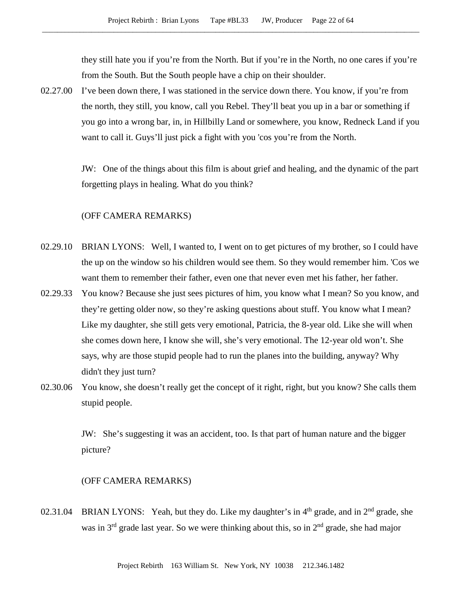they still hate you if you're from the North. But if you're in the North, no one cares if you're from the South. But the South people have a chip on their shoulder.

02.27.00 I've been down there, I was stationed in the service down there. You know, if you're from the north, they still, you know, call you Rebel. They'll beat you up in a bar or something if you go into a wrong bar, in, in Hillbilly Land or somewhere, you know, Redneck Land if you want to call it. Guys'll just pick a fight with you 'cos you're from the North.

> JW: One of the things about this film is about grief and healing, and the dynamic of the part forgetting plays in healing. What do you think?

# (OFF CAMERA REMARKS)

- 02.29.10 BRIAN LYONS: Well, I wanted to, I went on to get pictures of my brother, so I could have the up on the window so his children would see them. So they would remember him. 'Cos we want them to remember their father, even one that never even met his father, her father.
- 02.29.33 You know? Because she just sees pictures of him, you know what I mean? So you know, and they're getting older now, so they're asking questions about stuff. You know what I mean? Like my daughter, she still gets very emotional, Patricia, the 8-year old. Like she will when she comes down here, I know she will, she's very emotional. The 12-year old won't. She says, why are those stupid people had to run the planes into the building, anyway? Why didn't they just turn?
- 02.30.06 You know, she doesn't really get the concept of it right, right, but you know? She calls them stupid people.

JW: She's suggesting it was an accident, too. Is that part of human nature and the bigger picture?

# (OFF CAMERA REMARKS)

02.31.04 BRIAN LYONS: Yeah, but they do. Like my daughter's in  $4<sup>th</sup>$  grade, and in  $2<sup>nd</sup>$  grade, she was in  $3<sup>rd</sup>$  grade last year. So we were thinking about this, so in  $2<sup>nd</sup>$  grade, she had major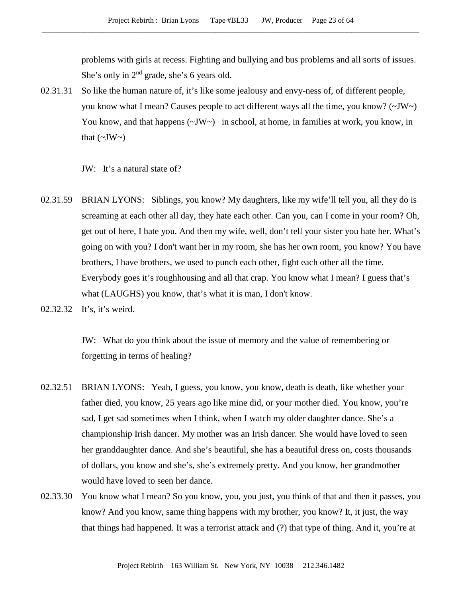problems with girls at recess. Fighting and bullying and bus problems and all sorts of issues. She's only in  $2<sup>nd</sup>$  grade, she's 6 years old.

02.31.31 So like the human nature of, it's like some jealousy and envy-ness of, of different people, you know what I mean? Causes people to act different ways all the time, you know?  $(\sim JW)$ You know, and that happens  $(\sim JW \sim)$  in school, at home, in families at work, you know, in that  $(\sim JW \sim)$ 

JW: It's a natural state of?

- 02.31.59 BRIAN LYONS: Siblings, you know? My daughters, like my wife'll tell you, all they do is screaming at each other all day, they hate each other. Can you, can I come in your room? Oh, get out of here, I hate you. And then my wife, well, don't tell your sister you hate her. What's going on with you? I don't want her in my room, she has her own room, you know? You have brothers, I have brothers, we used to punch each other, fight each other all the time. Everybody goes it's roughhousing and all that crap. You know what I mean? I guess that's what (LAUGHS) you know, that's what it is man, I don't know.
- 02.32.32 It's, it's weird.

JW: What do you think about the issue of memory and the value of remembering or forgetting in terms of healing?

- 02.32.51 BRIAN LYONS: Yeah, I guess, you know, you know, death is death, like whether your father died, you know, 25 years ago like mine did, or your mother died. You know, you're sad, I get sad sometimes when I think, when I watch my older daughter dance. She's a championship Irish dancer. My mother was an Irish dancer. She would have loved to seen her granddaughter dance. And she's beautiful, she has a beautiful dress on, costs thousands of dollars, you know and she's, she's extremely pretty. And you know, her grandmother would have loved to seen her dance.
- 02.33.30 You know what I mean? So you know, you, you just, you think of that and then it passes, you know? And you know, same thing happens with my brother, you know? It, it just, the way that things had happened. It was a terrorist attack and (?) that type of thing. And it, you're at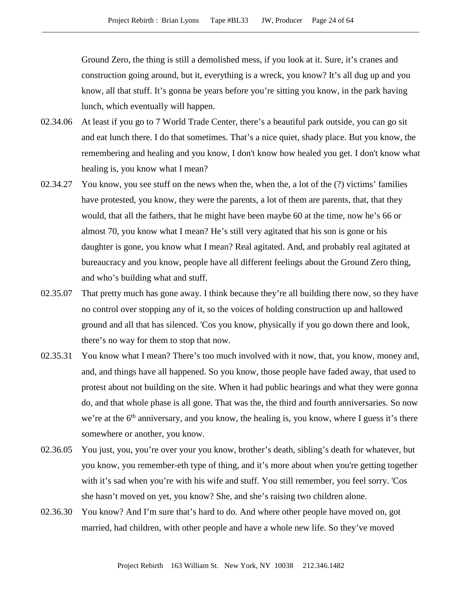Ground Zero, the thing is still a demolished mess, if you look at it. Sure, it's cranes and construction going around, but it, everything is a wreck, you know? It's all dug up and you know, all that stuff. It's gonna be years before you're sitting you know, in the park having lunch, which eventually will happen.

- 02.34.06 At least if you go to 7 World Trade Center, there's a beautiful park outside, you can go sit and eat lunch there. I do that sometimes. That's a nice quiet, shady place. But you know, the remembering and healing and you know, I don't know how healed you get. I don't know what healing is, you know what I mean?
- 02.34.27 You know, you see stuff on the news when the, when the, a lot of the (?) victims' families have protested, you know, they were the parents, a lot of them are parents, that, that they would, that all the fathers, that he might have been maybe 60 at the time, now he's 66 or almost 70, you know what I mean? He's still very agitated that his son is gone or his daughter is gone, you know what I mean? Real agitated. And, and probably real agitated at bureaucracy and you know, people have all different feelings about the Ground Zero thing, and who's building what and stuff.
- 02.35.07 That pretty much has gone away. I think because they're all building there now, so they have no control over stopping any of it, so the voices of holding construction up and hallowed ground and all that has silenced. 'Cos you know, physically if you go down there and look, there's no way for them to stop that now.
- 02.35.31 You know what I mean? There's too much involved with it now, that, you know, money and, and, and things have all happened. So you know, those people have faded away, that used to protest about not building on the site. When it had public hearings and what they were gonna do, and that whole phase is all gone. That was the, the third and fourth anniversaries. So now we're at the  $6<sup>th</sup>$  anniversary, and you know, the healing is, you know, where I guess it's there somewhere or another, you know.
- 02.36.05 You just, you, you're over your you know, brother's death, sibling's death for whatever, but you know, you remember-eth type of thing, and it's more about when you're getting together with it's sad when you're with his wife and stuff. You still remember, you feel sorry. 'Cos she hasn't moved on yet, you know? She, and she's raising two children alone.
- 02.36.30 You know? And I'm sure that's hard to do. And where other people have moved on, got married, had children, with other people and have a whole new life. So they've moved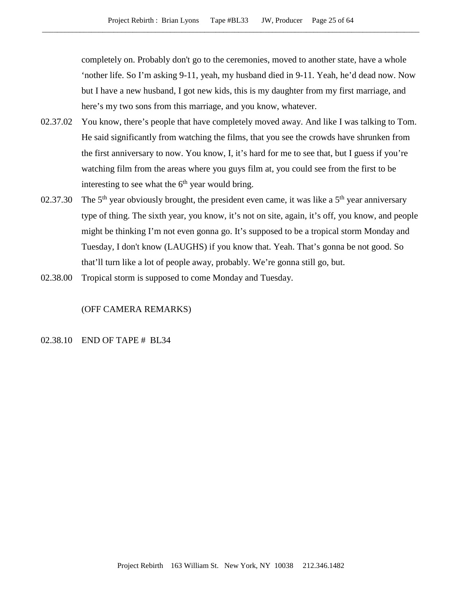completely on. Probably don't go to the ceremonies, moved to another state, have a whole 'nother life. So I'm asking 9-11, yeah, my husband died in 9-11. Yeah, he'd dead now. Now but I have a new husband, I got new kids, this is my daughter from my first marriage, and here's my two sons from this marriage, and you know, whatever.

- 02.37.02 You know, there's people that have completely moved away. And like I was talking to Tom. He said significantly from watching the films, that you see the crowds have shrunken from the first anniversary to now. You know, I, it's hard for me to see that, but I guess if you're watching film from the areas where you guys film at, you could see from the first to be interesting to see what the  $6<sup>th</sup>$  year would bring.
- 02.37.30 The 5<sup>th</sup> year obviously brought, the president even came, it was like a 5<sup>th</sup> year anniversary type of thing. The sixth year, you know, it's not on site, again, it's off, you know, and people might be thinking I'm not even gonna go. It's supposed to be a tropical storm Monday and Tuesday, I don't know (LAUGHS) if you know that. Yeah. That's gonna be not good. So that'll turn like a lot of people away, probably. We're gonna still go, but.
- 02.38.00 Tropical storm is supposed to come Monday and Tuesday.

# (OFF CAMERA REMARKS)

## 02.38.10 END OF TAPE # BL34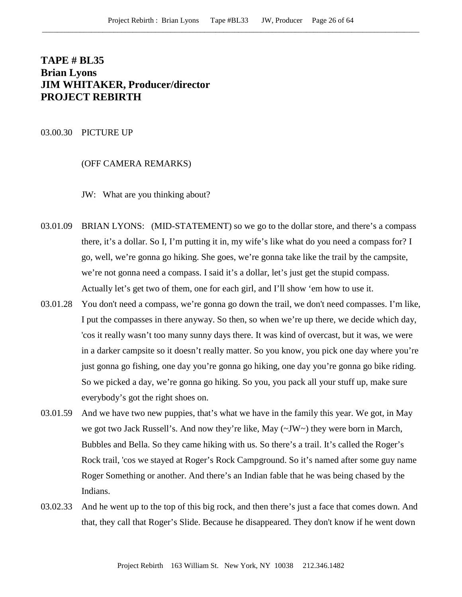# **TAPE # BL35 Brian Lyons JIM WHITAKER, Producer/director PROJECT REBIRTH**

## 03.00.30 PICTURE UP

## (OFF CAMERA REMARKS)

JW: What are you thinking about?

- 03.01.09 BRIAN LYONS: (MID-STATEMENT) so we go to the dollar store, and there's a compass there, it's a dollar. So I, I'm putting it in, my wife's like what do you need a compass for? I go, well, we're gonna go hiking. She goes, we're gonna take like the trail by the campsite, we're not gonna need a compass. I said it's a dollar, let's just get the stupid compass. Actually let's get two of them, one for each girl, and I'll show 'em how to use it.
- 03.01.28 You don't need a compass, we're gonna go down the trail, we don't need compasses. I'm like, I put the compasses in there anyway. So then, so when we're up there, we decide which day, 'cos it really wasn't too many sunny days there. It was kind of overcast, but it was, we were in a darker campsite so it doesn't really matter. So you know, you pick one day where you're just gonna go fishing, one day you're gonna go hiking, one day you're gonna go bike riding. So we picked a day, we're gonna go hiking. So you, you pack all your stuff up, make sure everybody's got the right shoes on.
- 03.01.59 And we have two new puppies, that's what we have in the family this year. We got, in May we got two Jack Russell's. And now they're like, May (~JW~) they were born in March, Bubbles and Bella. So they came hiking with us. So there's a trail. It's called the Roger's Rock trail, 'cos we stayed at Roger's Rock Campground. So it's named after some guy name Roger Something or another. And there's an Indian fable that he was being chased by the Indians.
- 03.02.33 And he went up to the top of this big rock, and then there's just a face that comes down. And that, they call that Roger's Slide. Because he disappeared. They don't know if he went down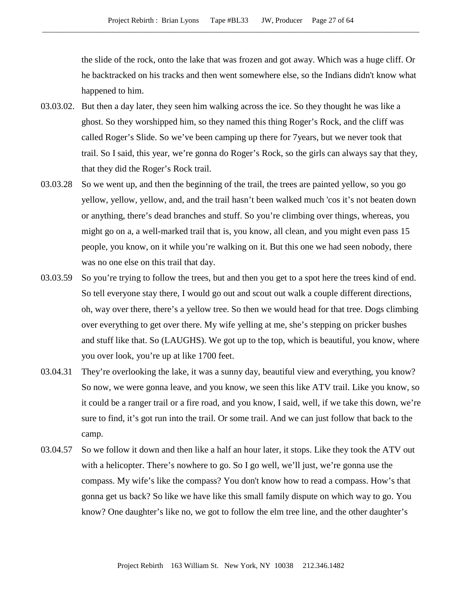the slide of the rock, onto the lake that was frozen and got away. Which was a huge cliff. Or he backtracked on his tracks and then went somewhere else, so the Indians didn't know what happened to him.

- 03.03.02. But then a day later, they seen him walking across the ice. So they thought he was like a ghost. So they worshipped him, so they named this thing Roger's Rock, and the cliff was called Roger's Slide. So we've been camping up there for 7years, but we never took that trail. So I said, this year, we're gonna do Roger's Rock, so the girls can always say that they, that they did the Roger's Rock trail.
- 03.03.28 So we went up, and then the beginning of the trail, the trees are painted yellow, so you go yellow, yellow, yellow, and, and the trail hasn't been walked much 'cos it's not beaten down or anything, there's dead branches and stuff. So you're climbing over things, whereas, you might go on a, a well-marked trail that is, you know, all clean, and you might even pass 15 people, you know, on it while you're walking on it. But this one we had seen nobody, there was no one else on this trail that day.
- 03.03.59 So you're trying to follow the trees, but and then you get to a spot here the trees kind of end. So tell everyone stay there, I would go out and scout out walk a couple different directions, oh, way over there, there's a yellow tree. So then we would head for that tree. Dogs climbing over everything to get over there. My wife yelling at me, she's stepping on pricker bushes and stuff like that. So (LAUGHS). We got up to the top, which is beautiful, you know, where you over look, you're up at like 1700 feet.
- 03.04.31 They're overlooking the lake, it was a sunny day, beautiful view and everything, you know? So now, we were gonna leave, and you know, we seen this like ATV trail. Like you know, so it could be a ranger trail or a fire road, and you know, I said, well, if we take this down, we're sure to find, it's got run into the trail. Or some trail. And we can just follow that back to the camp.
- 03.04.57 So we follow it down and then like a half an hour later, it stops. Like they took the ATV out with a helicopter. There's nowhere to go. So I go well, we'll just, we're gonna use the compass. My wife's like the compass? You don't know how to read a compass. How's that gonna get us back? So like we have like this small family dispute on which way to go. You know? One daughter's like no, we got to follow the elm tree line, and the other daughter's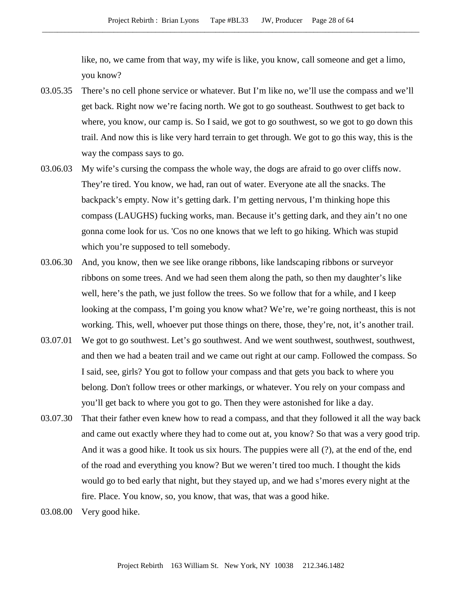like, no, we came from that way, my wife is like, you know, call someone and get a limo, you know?

- 03.05.35 There's no cell phone service or whatever. But I'm like no, we'll use the compass and we'll get back. Right now we're facing north. We got to go southeast. Southwest to get back to where, you know, our camp is. So I said, we got to go southwest, so we got to go down this trail. And now this is like very hard terrain to get through. We got to go this way, this is the way the compass says to go.
- 03.06.03 My wife's cursing the compass the whole way, the dogs are afraid to go over cliffs now. They're tired. You know, we had, ran out of water. Everyone ate all the snacks. The backpack's empty. Now it's getting dark. I'm getting nervous, I'm thinking hope this compass (LAUGHS) fucking works, man. Because it's getting dark, and they ain't no one gonna come look for us. 'Cos no one knows that we left to go hiking. Which was stupid which you're supposed to tell somebody.
- 03.06.30 And, you know, then we see like orange ribbons, like landscaping ribbons or surveyor ribbons on some trees. And we had seen them along the path, so then my daughter's like well, here's the path, we just follow the trees. So we follow that for a while, and I keep looking at the compass, I'm going you know what? We're, we're going northeast, this is not working. This, well, whoever put those things on there, those, they're, not, it's another trail.
- 03.07.01 We got to go southwest. Let's go southwest. And we went southwest, southwest, southwest, and then we had a beaten trail and we came out right at our camp. Followed the compass. So I said, see, girls? You got to follow your compass and that gets you back to where you belong. Don't follow trees or other markings, or whatever. You rely on your compass and you'll get back to where you got to go. Then they were astonished for like a day.
- 03.07.30 That their father even knew how to read a compass, and that they followed it all the way back and came out exactly where they had to come out at, you know? So that was a very good trip. And it was a good hike. It took us six hours. The puppies were all (?), at the end of the, end of the road and everything you know? But we weren't tired too much. I thought the kids would go to bed early that night, but they stayed up, and we had s'mores every night at the fire. Place. You know, so, you know, that was, that was a good hike.
- 03.08.00 Very good hike.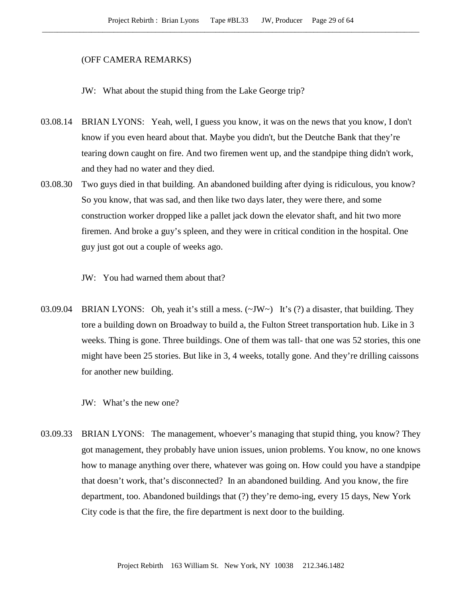### (OFF CAMERA REMARKS)

JW: What about the stupid thing from the Lake George trip?

- 03.08.14 BRIAN LYONS: Yeah, well, I guess you know, it was on the news that you know, I don't know if you even heard about that. Maybe you didn't, but the Deutche Bank that they're tearing down caught on fire. And two firemen went up, and the standpipe thing didn't work, and they had no water and they died.
- 03.08.30 Two guys died in that building. An abandoned building after dying is ridiculous, you know? So you know, that was sad, and then like two days later, they were there, and some construction worker dropped like a pallet jack down the elevator shaft, and hit two more firemen. And broke a guy's spleen, and they were in critical condition in the hospital. One guy just got out a couple of weeks ago.

JW: You had warned them about that?

03.09.04 BRIAN LYONS: Oh, yeah it's still a mess. (~JW~) It's (?) a disaster, that building. They tore a building down on Broadway to build a, the Fulton Street transportation hub. Like in 3 weeks. Thing is gone. Three buildings. One of them was tall- that one was 52 stories, this one might have been 25 stories. But like in 3, 4 weeks, totally gone. And they're drilling caissons for another new building.

JW: What's the new one?

03.09.33 BRIAN LYONS: The management, whoever's managing that stupid thing, you know? They got management, they probably have union issues, union problems. You know, no one knows how to manage anything over there, whatever was going on. How could you have a standpipe that doesn't work, that's disconnected? In an abandoned building. And you know, the fire department, too. Abandoned buildings that (?) they're demo-ing, every 15 days, New York City code is that the fire, the fire department is next door to the building.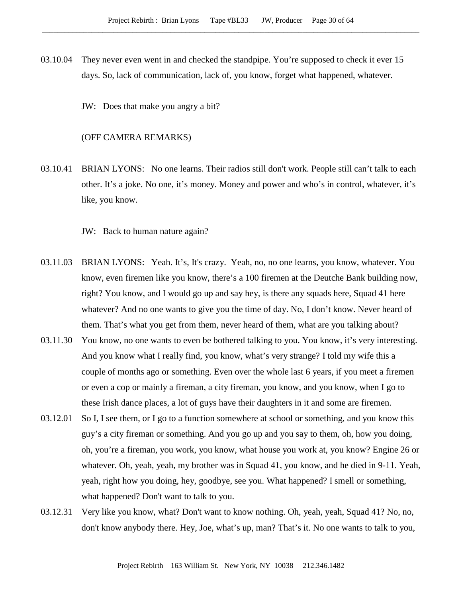- 03.10.04 They never even went in and checked the standpipe. You're supposed to check it ever 15 days. So, lack of communication, lack of, you know, forget what happened, whatever.
	- JW: Does that make you angry a bit?

# (OFF CAMERA REMARKS)

03.10.41 BRIAN LYONS: No one learns. Their radios still don't work. People still can't talk to each other. It's a joke. No one, it's money. Money and power and who's in control, whatever, it's like, you know.

JW: Back to human nature again?

- 03.11.03 BRIAN LYONS: Yeah. It's, It's crazy. Yeah, no, no one learns, you know, whatever. You know, even firemen like you know, there's a 100 firemen at the Deutche Bank building now, right? You know, and I would go up and say hey, is there any squads here, Squad 41 here whatever? And no one wants to give you the time of day. No, I don't know. Never heard of them. That's what you get from them, never heard of them, what are you talking about?
- 03.11.30 You know, no one wants to even be bothered talking to you. You know, it's very interesting. And you know what I really find, you know, what's very strange? I told my wife this a couple of months ago or something. Even over the whole last 6 years, if you meet a firemen or even a cop or mainly a fireman, a city fireman, you know, and you know, when I go to these Irish dance places, a lot of guys have their daughters in it and some are firemen.
- 03.12.01 So I, I see them, or I go to a function somewhere at school or something, and you know this guy's a city fireman or something. And you go up and you say to them, oh, how you doing, oh, you're a fireman, you work, you know, what house you work at, you know? Engine 26 or whatever. Oh, yeah, yeah, my brother was in Squad 41, you know, and he died in 9-11. Yeah, yeah, right how you doing, hey, goodbye, see you. What happened? I smell or something, what happened? Don't want to talk to you.
- 03.12.31 Very like you know, what? Don't want to know nothing. Oh, yeah, yeah, Squad 41? No, no, don't know anybody there. Hey, Joe, what's up, man? That's it. No one wants to talk to you,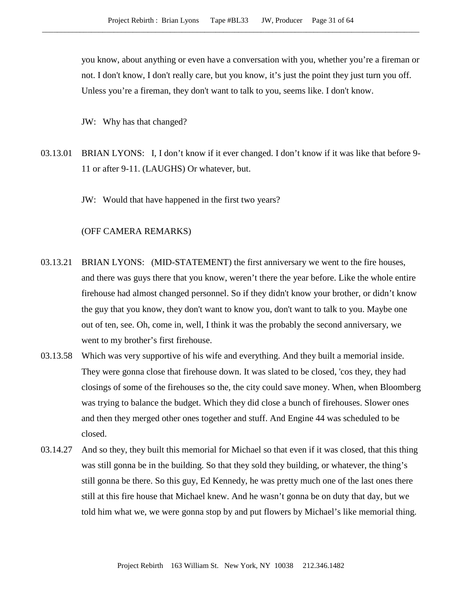you know, about anything or even have a conversation with you, whether you're a fireman or not. I don't know, I don't really care, but you know, it's just the point they just turn you off. Unless you're a fireman, they don't want to talk to you, seems like. I don't know.

JW: Why has that changed?

- 03.13.01 BRIAN LYONS: I, I don't know if it ever changed. I don't know if it was like that before 9- 11 or after 9-11. (LAUGHS) Or whatever, but.
	- JW: Would that have happened in the first two years?

#### (OFF CAMERA REMARKS)

- 03.13.21 BRIAN LYONS: (MID-STATEMENT) the first anniversary we went to the fire houses, and there was guys there that you know, weren't there the year before. Like the whole entire firehouse had almost changed personnel. So if they didn't know your brother, or didn't know the guy that you know, they don't want to know you, don't want to talk to you. Maybe one out of ten, see. Oh, come in, well, I think it was the probably the second anniversary, we went to my brother's first firehouse.
- 03.13.58 Which was very supportive of his wife and everything. And they built a memorial inside. They were gonna close that firehouse down. It was slated to be closed, 'cos they, they had closings of some of the firehouses so the, the city could save money. When, when Bloomberg was trying to balance the budget. Which they did close a bunch of firehouses. Slower ones and then they merged other ones together and stuff. And Engine 44 was scheduled to be closed.
- 03.14.27 And so they, they built this memorial for Michael so that even if it was closed, that this thing was still gonna be in the building. So that they sold they building, or whatever, the thing's still gonna be there. So this guy, Ed Kennedy, he was pretty much one of the last ones there still at this fire house that Michael knew. And he wasn't gonna be on duty that day, but we told him what we, we were gonna stop by and put flowers by Michael's like memorial thing.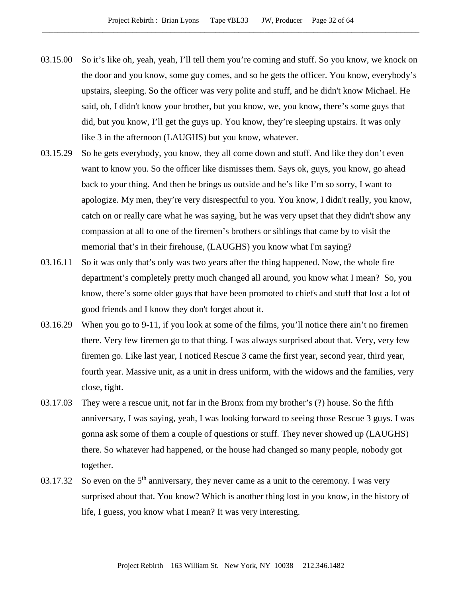- 03.15.00 So it's like oh, yeah, yeah, I'll tell them you're coming and stuff. So you know, we knock on the door and you know, some guy comes, and so he gets the officer. You know, everybody's upstairs, sleeping. So the officer was very polite and stuff, and he didn't know Michael. He said, oh, I didn't know your brother, but you know, we, you know, there's some guys that did, but you know, I'll get the guys up. You know, they're sleeping upstairs. It was only like 3 in the afternoon (LAUGHS) but you know, whatever.
- 03.15.29 So he gets everybody, you know, they all come down and stuff. And like they don't even want to know you. So the officer like dismisses them. Says ok, guys, you know, go ahead back to your thing. And then he brings us outside and he's like I'm so sorry, I want to apologize. My men, they're very disrespectful to you. You know, I didn't really, you know, catch on or really care what he was saying, but he was very upset that they didn't show any compassion at all to one of the firemen's brothers or siblings that came by to visit the memorial that's in their firehouse, (LAUGHS) you know what I'm saying?
- 03.16.11 So it was only that's only was two years after the thing happened. Now, the whole fire department's completely pretty much changed all around, you know what I mean? So, you know, there's some older guys that have been promoted to chiefs and stuff that lost a lot of good friends and I know they don't forget about it.
- 03.16.29 When you go to 9-11, if you look at some of the films, you'll notice there ain't no firemen there. Very few firemen go to that thing. I was always surprised about that. Very, very few firemen go. Like last year, I noticed Rescue 3 came the first year, second year, third year, fourth year. Massive unit, as a unit in dress uniform, with the widows and the families, very close, tight.
- 03.17.03 They were a rescue unit, not far in the Bronx from my brother's (?) house. So the fifth anniversary, I was saying, yeah, I was looking forward to seeing those Rescue 3 guys. I was gonna ask some of them a couple of questions or stuff. They never showed up (LAUGHS) there. So whatever had happened, or the house had changed so many people, nobody got together.
- 03.17.32 So even on the  $5<sup>th</sup>$  anniversary, they never came as a unit to the ceremony. I was very surprised about that. You know? Which is another thing lost in you know, in the history of life, I guess, you know what I mean? It was very interesting.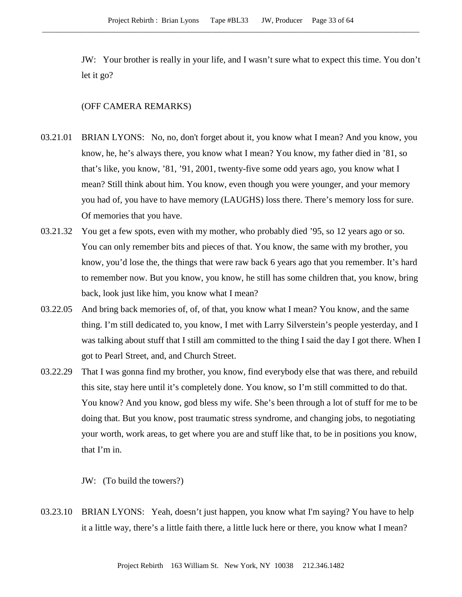JW: Your brother is really in your life, and I wasn't sure what to expect this time. You don't let it go?

## (OFF CAMERA REMARKS)

- 03.21.01 BRIAN LYONS: No, no, don't forget about it, you know what I mean? And you know, you know, he, he's always there, you know what I mean? You know, my father died in '81, so that's like, you know, '81, '91, 2001, twenty-five some odd years ago, you know what I mean? Still think about him. You know, even though you were younger, and your memory you had of, you have to have memory (LAUGHS) loss there. There's memory loss for sure. Of memories that you have.
- 03.21.32 You get a few spots, even with my mother, who probably died '95, so 12 years ago or so. You can only remember bits and pieces of that. You know, the same with my brother, you know, you'd lose the, the things that were raw back 6 years ago that you remember. It's hard to remember now. But you know, you know, he still has some children that, you know, bring back, look just like him, you know what I mean?
- 03.22.05 And bring back memories of, of, of that, you know what I mean? You know, and the same thing. I'm still dedicated to, you know, I met with Larry Silverstein's people yesterday, and I was talking about stuff that I still am committed to the thing I said the day I got there. When I got to Pearl Street, and, and Church Street.
- 03.22.29 That I was gonna find my brother, you know, find everybody else that was there, and rebuild this site, stay here until it's completely done. You know, so I'm still committed to do that. You know? And you know, god bless my wife. She's been through a lot of stuff for me to be doing that. But you know, post traumatic stress syndrome, and changing jobs, to negotiating your worth, work areas, to get where you are and stuff like that, to be in positions you know, that I'm in.

JW: (To build the towers?)

03.23.10 BRIAN LYONS: Yeah, doesn't just happen, you know what I'm saying? You have to help it a little way, there's a little faith there, a little luck here or there, you know what I mean?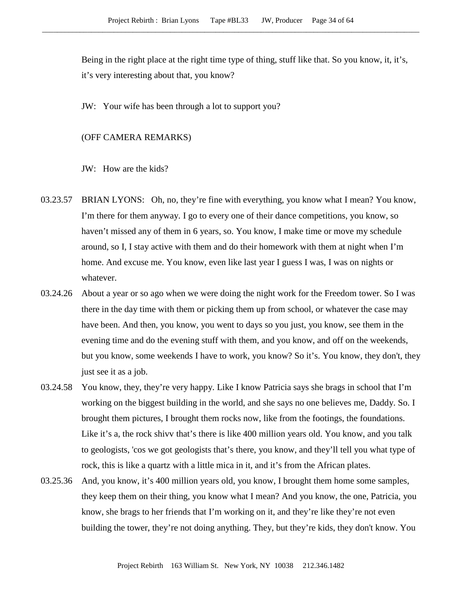Being in the right place at the right time type of thing, stuff like that. So you know, it, it's, it's very interesting about that, you know?

JW: Your wife has been through a lot to support you?

## (OFF CAMERA REMARKS)

JW: How are the kids?

- 03.23.57 BRIAN LYONS: Oh, no, they're fine with everything, you know what I mean? You know, I'm there for them anyway. I go to every one of their dance competitions, you know, so haven't missed any of them in 6 years, so. You know, I make time or move my schedule around, so I, I stay active with them and do their homework with them at night when I'm home. And excuse me. You know, even like last year I guess I was, I was on nights or whatever.
- 03.24.26 About a year or so ago when we were doing the night work for the Freedom tower. So I was there in the day time with them or picking them up from school, or whatever the case may have been. And then, you know, you went to days so you just, you know, see them in the evening time and do the evening stuff with them, and you know, and off on the weekends, but you know, some weekends I have to work, you know? So it's. You know, they don't, they just see it as a job.
- 03.24.58 You know, they, they're very happy. Like I know Patricia says she brags in school that I'm working on the biggest building in the world, and she says no one believes me, Daddy. So. I brought them pictures, I brought them rocks now, like from the footings, the foundations. Like it's a, the rock shivv that's there is like 400 million years old. You know, and you talk to geologists, 'cos we got geologists that's there, you know, and they'll tell you what type of rock, this is like a quartz with a little mica in it, and it's from the African plates.
- 03.25.36 And, you know, it's 400 million years old, you know, I brought them home some samples, they keep them on their thing, you know what I mean? And you know, the one, Patricia, you know, she brags to her friends that I'm working on it, and they're like they're not even building the tower, they're not doing anything. They, but they're kids, they don't know. You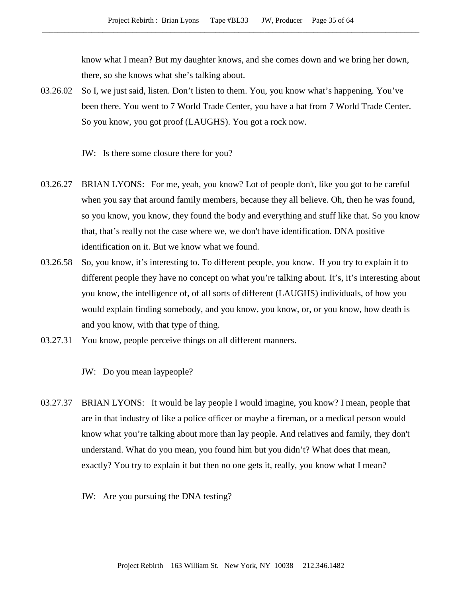know what I mean? But my daughter knows, and she comes down and we bring her down, there, so she knows what she's talking about.

03.26.02 So I, we just said, listen. Don't listen to them. You, you know what's happening. You've been there. You went to 7 World Trade Center, you have a hat from 7 World Trade Center. So you know, you got proof (LAUGHS). You got a rock now.

JW: Is there some closure there for you?

- 03.26.27 BRIAN LYONS: For me, yeah, you know? Lot of people don't, like you got to be careful when you say that around family members, because they all believe. Oh, then he was found, so you know, you know, they found the body and everything and stuff like that. So you know that, that's really not the case where we, we don't have identification. DNA positive identification on it. But we know what we found.
- 03.26.58 So, you know, it's interesting to. To different people, you know. If you try to explain it to different people they have no concept on what you're talking about. It's, it's interesting about you know, the intelligence of, of all sorts of different (LAUGHS) individuals, of how you would explain finding somebody, and you know, you know, or, or you know, how death is and you know, with that type of thing.
- 03.27.31 You know, people perceive things on all different manners.

JW: Do you mean laypeople?

- 03.27.37 BRIAN LYONS: It would be lay people I would imagine, you know? I mean, people that are in that industry of like a police officer or maybe a fireman, or a medical person would know what you're talking about more than lay people. And relatives and family, they don't understand. What do you mean, you found him but you didn't? What does that mean, exactly? You try to explain it but then no one gets it, really, you know what I mean?
	- JW: Are you pursuing the DNA testing?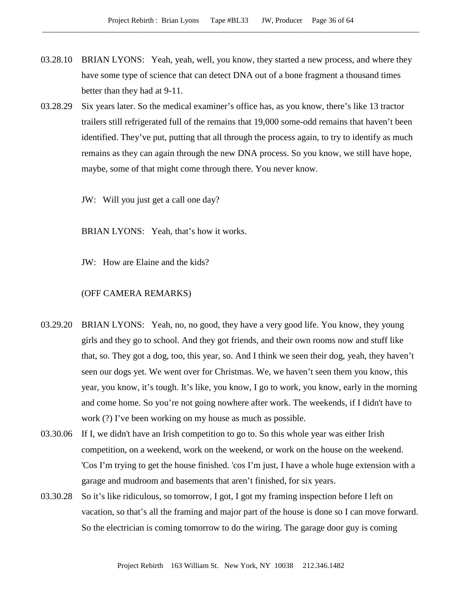- 03.28.10 BRIAN LYONS: Yeah, yeah, well, you know, they started a new process, and where they have some type of science that can detect DNA out of a bone fragment a thousand times better than they had at 9-11.
- 03.28.29 Six years later. So the medical examiner's office has, as you know, there's like 13 tractor trailers still refrigerated full of the remains that 19,000 some-odd remains that haven't been identified. They've put, putting that all through the process again, to try to identify as much remains as they can again through the new DNA process. So you know, we still have hope, maybe, some of that might come through there. You never know.
	- JW: Will you just get a call one day?

BRIAN LYONS: Yeah, that's how it works.

JW: How are Elaine and the kids?

#### (OFF CAMERA REMARKS)

- 03.29.20 BRIAN LYONS: Yeah, no, no good, they have a very good life. You know, they young girls and they go to school. And they got friends, and their own rooms now and stuff like that, so. They got a dog, too, this year, so. And I think we seen their dog, yeah, they haven't seen our dogs yet. We went over for Christmas. We, we haven't seen them you know, this year, you know, it's tough. It's like, you know, I go to work, you know, early in the morning and come home. So you're not going nowhere after work. The weekends, if I didn't have to work (?) I've been working on my house as much as possible.
- 03.30.06 If I, we didn't have an Irish competition to go to. So this whole year was either Irish competition, on a weekend, work on the weekend, or work on the house on the weekend. 'Cos I'm trying to get the house finished. 'cos I'm just, I have a whole huge extension with a garage and mudroom and basements that aren't finished, for six years.
- 03.30.28 So it's like ridiculous, so tomorrow, I got, I got my framing inspection before I left on vacation, so that's all the framing and major part of the house is done so I can move forward. So the electrician is coming tomorrow to do the wiring. The garage door guy is coming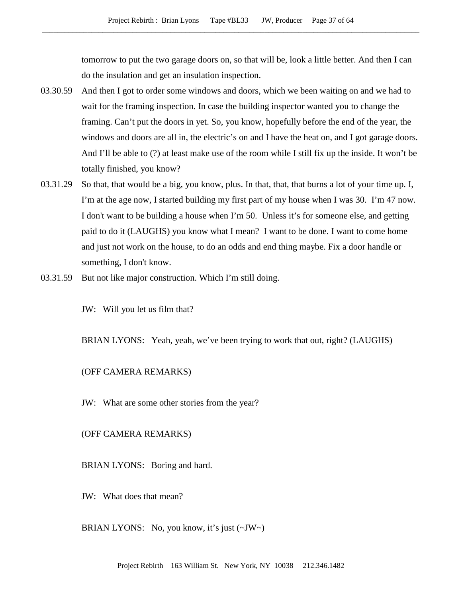tomorrow to put the two garage doors on, so that will be, look a little better. And then I can do the insulation and get an insulation inspection.

- 03.30.59 And then I got to order some windows and doors, which we been waiting on and we had to wait for the framing inspection. In case the building inspector wanted you to change the framing. Can't put the doors in yet. So, you know, hopefully before the end of the year, the windows and doors are all in, the electric's on and I have the heat on, and I got garage doors. And I'll be able to (?) at least make use of the room while I still fix up the inside. It won't be totally finished, you know?
- 03.31.29 So that, that would be a big, you know, plus. In that, that, that burns a lot of your time up. I, I'm at the age now, I started building my first part of my house when I was 30. I'm 47 now. I don't want to be building a house when I'm 50. Unless it's for someone else, and getting paid to do it (LAUGHS) you know what I mean? I want to be done. I want to come home and just not work on the house, to do an odds and end thing maybe. Fix a door handle or something, I don't know.
- 03.31.59 But not like major construction. Which I'm still doing.

JW: Will you let us film that?

BRIAN LYONS: Yeah, yeah, we've been trying to work that out, right? (LAUGHS)

### (OFF CAMERA REMARKS)

JW: What are some other stories from the year?

### (OFF CAMERA REMARKS)

BRIAN LYONS: Boring and hard.

JW: What does that mean?

BRIAN LYONS: No, you know, it's just (~JW~)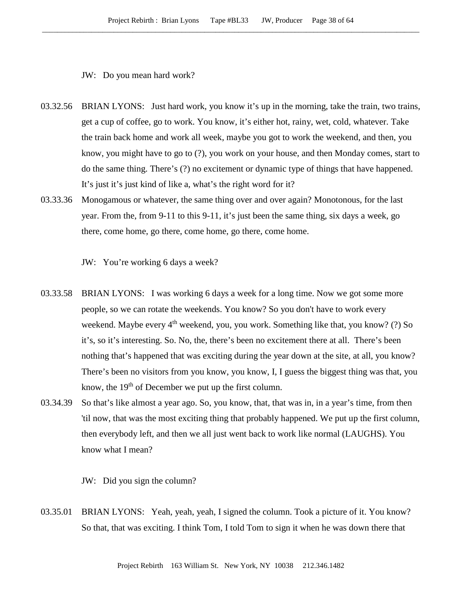JW: Do you mean hard work?

- 03.32.56 BRIAN LYONS: Just hard work, you know it's up in the morning, take the train, two trains, get a cup of coffee, go to work. You know, it's either hot, rainy, wet, cold, whatever. Take the train back home and work all week, maybe you got to work the weekend, and then, you know, you might have to go to (?), you work on your house, and then Monday comes, start to do the same thing. There's (?) no excitement or dynamic type of things that have happened. It's just it's just kind of like a, what's the right word for it?
- 03.33.36 Monogamous or whatever, the same thing over and over again? Monotonous, for the last year. From the, from 9-11 to this 9-11, it's just been the same thing, six days a week, go there, come home, go there, come home, go there, come home.

JW: You're working 6 days a week?

- 03.33.58 BRIAN LYONS: I was working 6 days a week for a long time. Now we got some more people, so we can rotate the weekends. You know? So you don't have to work every weekend. Maybe every  $4<sup>th</sup>$  weekend, you, you work. Something like that, you know? (?) So it's, so it's interesting. So. No, the, there's been no excitement there at all. There's been nothing that's happened that was exciting during the year down at the site, at all, you know? There's been no visitors from you know, you know, I, I guess the biggest thing was that, you know, the  $19<sup>th</sup>$  of December we put up the first column.
- 03.34.39 So that's like almost a year ago. So, you know, that, that was in, in a year's time, from then 'til now, that was the most exciting thing that probably happened. We put up the first column, then everybody left, and then we all just went back to work like normal (LAUGHS). You know what I mean?

JW: Did you sign the column?

03.35.01 BRIAN LYONS: Yeah, yeah, yeah, I signed the column. Took a picture of it. You know? So that, that was exciting. I think Tom, I told Tom to sign it when he was down there that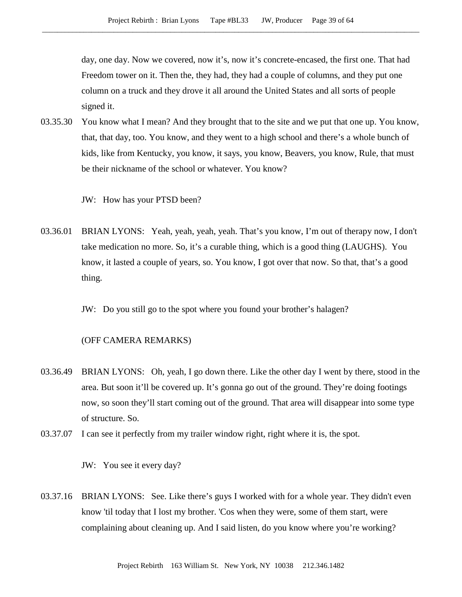day, one day. Now we covered, now it's, now it's concrete-encased, the first one. That had Freedom tower on it. Then the, they had, they had a couple of columns, and they put one column on a truck and they drove it all around the United States and all sorts of people signed it.

03.35.30 You know what I mean? And they brought that to the site and we put that one up. You know, that, that day, too. You know, and they went to a high school and there's a whole bunch of kids, like from Kentucky, you know, it says, you know, Beavers, you know, Rule, that must be their nickname of the school or whatever. You know?

JW: How has your PTSD been?

- 03.36.01 BRIAN LYONS: Yeah, yeah, yeah, yeah. That's you know, I'm out of therapy now, I don't take medication no more. So, it's a curable thing, which is a good thing (LAUGHS). You know, it lasted a couple of years, so. You know, I got over that now. So that, that's a good thing.
	- JW: Do you still go to the spot where you found your brother's halagen?

## (OFF CAMERA REMARKS)

- 03.36.49 BRIAN LYONS: Oh, yeah, I go down there. Like the other day I went by there, stood in the area. But soon it'll be covered up. It's gonna go out of the ground. They're doing footings now, so soon they'll start coming out of the ground. That area will disappear into some type of structure. So.
- 03.37.07 I can see it perfectly from my trailer window right, right where it is, the spot.

JW: You see it every day?

03.37.16 BRIAN LYONS: See. Like there's guys I worked with for a whole year. They didn't even know 'til today that I lost my brother. 'Cos when they were, some of them start, were complaining about cleaning up. And I said listen, do you know where you're working?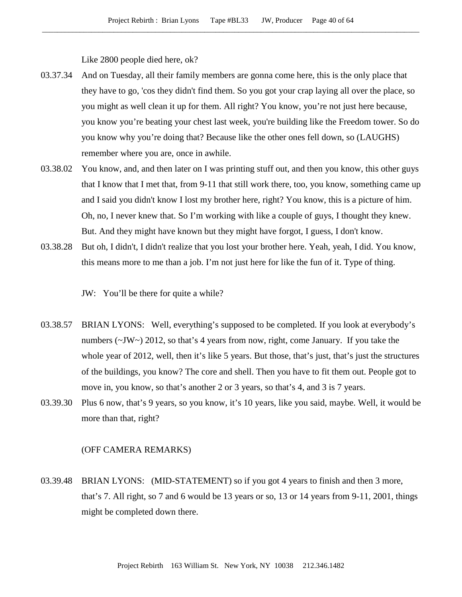Like 2800 people died here, ok?

- 03.37.34 And on Tuesday, all their family members are gonna come here, this is the only place that they have to go, 'cos they didn't find them. So you got your crap laying all over the place, so you might as well clean it up for them. All right? You know, you're not just here because, you know you're beating your chest last week, you're building like the Freedom tower. So do you know why you're doing that? Because like the other ones fell down, so (LAUGHS) remember where you are, once in awhile.
- 03.38.02 You know, and, and then later on I was printing stuff out, and then you know, this other guys that I know that I met that, from 9-11 that still work there, too, you know, something came up and I said you didn't know I lost my brother here, right? You know, this is a picture of him. Oh, no, I never knew that. So I'm working with like a couple of guys, I thought they knew. But. And they might have known but they might have forgot, I guess, I don't know.
- 03.38.28 But oh, I didn't, I didn't realize that you lost your brother here. Yeah, yeah, I did. You know, this means more to me than a job. I'm not just here for like the fun of it. Type of thing.

JW: You'll be there for quite a while?

- 03.38.57 BRIAN LYONS: Well, everything's supposed to be completed. If you look at everybody's numbers (~JW~) 2012, so that's 4 years from now, right, come January. If you take the whole year of 2012, well, then it's like 5 years. But those, that's just, that's just the structures of the buildings, you know? The core and shell. Then you have to fit them out. People got to move in, you know, so that's another 2 or 3 years, so that's 4, and 3 is 7 years.
- 03.39.30 Plus 6 now, that's 9 years, so you know, it's 10 years, like you said, maybe. Well, it would be more than that, right?

## (OFF CAMERA REMARKS)

03.39.48 BRIAN LYONS: (MID-STATEMENT) so if you got 4 years to finish and then 3 more, that's 7. All right, so 7 and 6 would be 13 years or so, 13 or 14 years from 9-11, 2001, things might be completed down there.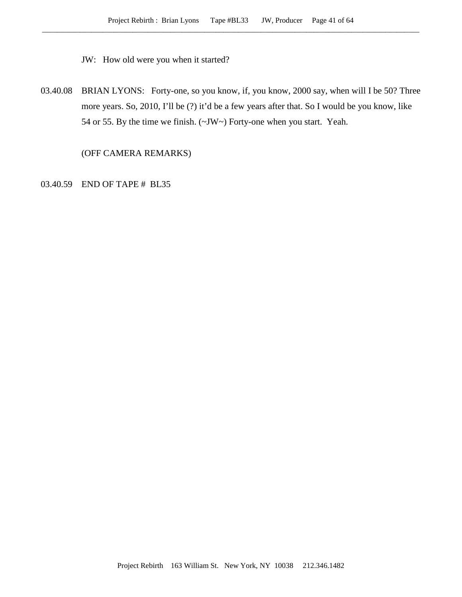JW: How old were you when it started?

03.40.08 BRIAN LYONS: Forty-one, so you know, if, you know, 2000 say, when will I be 50? Three more years. So, 2010, I'll be (?) it'd be a few years after that. So I would be you know, like 54 or 55. By the time we finish. (~JW~) Forty-one when you start. Yeah.

(OFF CAMERA REMARKS)

03.40.59 END OF TAPE # BL35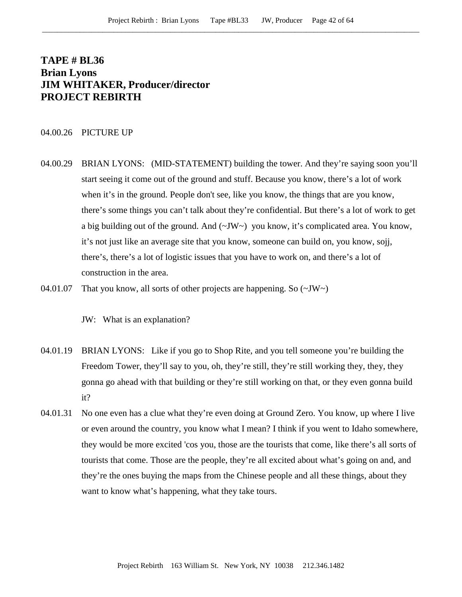# **TAPE # BL36 Brian Lyons JIM WHITAKER, Producer/director PROJECT REBIRTH**

## 04.00.26 PICTURE UP

- 04.00.29 BRIAN LYONS: (MID-STATEMENT) building the tower. And they're saying soon you'll start seeing it come out of the ground and stuff. Because you know, there's a lot of work when it's in the ground. People don't see, like you know, the things that are you know, there's some things you can't talk about they're confidential. But there's a lot of work to get a big building out of the ground. And (~JW~) you know, it's complicated area. You know, it's not just like an average site that you know, someone can build on, you know, sojj, there's, there's a lot of logistic issues that you have to work on, and there's a lot of construction in the area.
- 04.01.07 That you know, all sorts of other projects are happening. So  $(\sim JW)$ 
	- JW: What is an explanation?
- 04.01.19 BRIAN LYONS: Like if you go to Shop Rite, and you tell someone you're building the Freedom Tower, they'll say to you, oh, they're still, they're still working they, they, they gonna go ahead with that building or they're still working on that, or they even gonna build it?
- 04.01.31 No one even has a clue what they're even doing at Ground Zero. You know, up where I live or even around the country, you know what I mean? I think if you went to Idaho somewhere, they would be more excited 'cos you, those are the tourists that come, like there's all sorts of tourists that come. Those are the people, they're all excited about what's going on and, and they're the ones buying the maps from the Chinese people and all these things, about they want to know what's happening, what they take tours.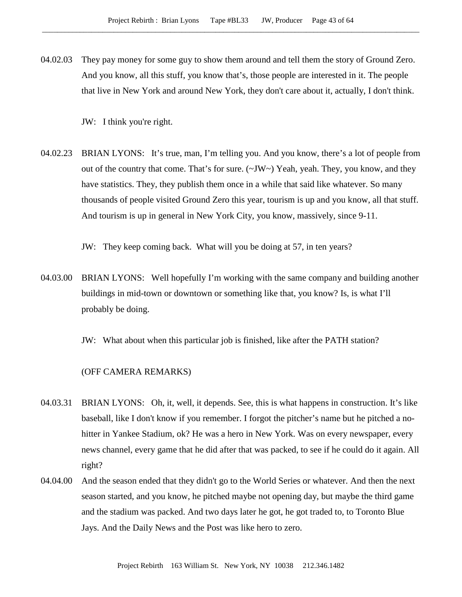04.02.03 They pay money for some guy to show them around and tell them the story of Ground Zero. And you know, all this stuff, you know that's, those people are interested in it. The people that live in New York and around New York, they don't care about it, actually, I don't think.

JW: I think you're right.

04.02.23 BRIAN LYONS: It's true, man, I'm telling you. And you know, there's a lot of people from out of the country that come. That's for sure.  $(\sim JW \sim)$  Yeah, yeah. They, you know, and they have statistics. They, they publish them once in a while that said like whatever. So many thousands of people visited Ground Zero this year, tourism is up and you know, all that stuff. And tourism is up in general in New York City, you know, massively, since 9-11.

JW: They keep coming back. What will you be doing at 57, in ten years?

04.03.00 BRIAN LYONS: Well hopefully I'm working with the same company and building another buildings in mid-town or downtown or something like that, you know? Is, is what I'll probably be doing.

JW: What about when this particular job is finished, like after the PATH station?

### (OFF CAMERA REMARKS)

- 04.03.31 BRIAN LYONS: Oh, it, well, it depends. See, this is what happens in construction. It's like baseball, like I don't know if you remember. I forgot the pitcher's name but he pitched a nohitter in Yankee Stadium, ok? He was a hero in New York. Was on every newspaper, every news channel, every game that he did after that was packed, to see if he could do it again. All right?
- 04.04.00 And the season ended that they didn't go to the World Series or whatever. And then the next season started, and you know, he pitched maybe not opening day, but maybe the third game and the stadium was packed. And two days later he got, he got traded to, to Toronto Blue Jays. And the Daily News and the Post was like hero to zero.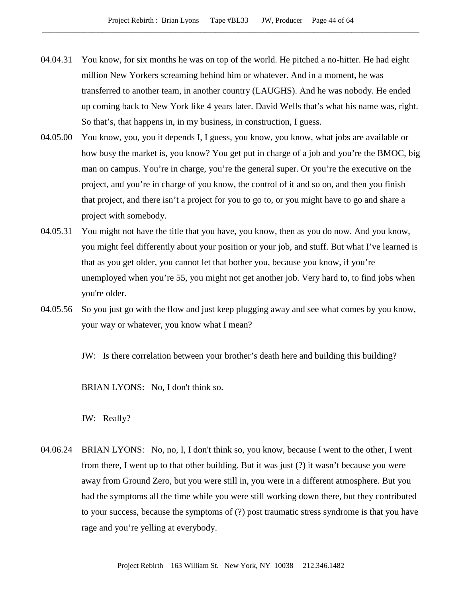- 04.04.31 You know, for six months he was on top of the world. He pitched a no-hitter. He had eight million New Yorkers screaming behind him or whatever. And in a moment, he was transferred to another team, in another country (LAUGHS). And he was nobody. He ended up coming back to New York like 4 years later. David Wells that's what his name was, right. So that's, that happens in, in my business, in construction, I guess.
- 04.05.00 You know, you, you it depends I, I guess, you know, you know, what jobs are available or how busy the market is, you know? You get put in charge of a job and you're the BMOC, big man on campus. You're in charge, you're the general super. Or you're the executive on the project, and you're in charge of you know, the control of it and so on, and then you finish that project, and there isn't a project for you to go to, or you might have to go and share a project with somebody.
- 04.05.31 You might not have the title that you have, you know, then as you do now. And you know, you might feel differently about your position or your job, and stuff. But what I've learned is that as you get older, you cannot let that bother you, because you know, if you're unemployed when you're 55, you might not get another job. Very hard to, to find jobs when you're older.
- 04.05.56 So you just go with the flow and just keep plugging away and see what comes by you know, your way or whatever, you know what I mean?

JW: Is there correlation between your brother's death here and building this building?

BRIAN LYONS: No, I don't think so.

JW: Really?

04.06.24 BRIAN LYONS: No, no, I, I don't think so, you know, because I went to the other, I went from there, I went up to that other building. But it was just (?) it wasn't because you were away from Ground Zero, but you were still in, you were in a different atmosphere. But you had the symptoms all the time while you were still working down there, but they contributed to your success, because the symptoms of (?) post traumatic stress syndrome is that you have rage and you're yelling at everybody.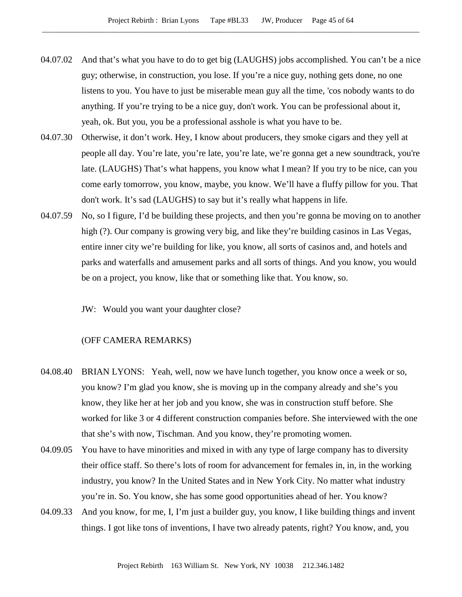- 04.07.02 And that's what you have to do to get big (LAUGHS) jobs accomplished. You can't be a nice guy; otherwise, in construction, you lose. If you're a nice guy, nothing gets done, no one listens to you. You have to just be miserable mean guy all the time, 'cos nobody wants to do anything. If you're trying to be a nice guy, don't work. You can be professional about it, yeah, ok. But you, you be a professional asshole is what you have to be.
- 04.07.30 Otherwise, it don't work. Hey, I know about producers, they smoke cigars and they yell at people all day. You're late, you're late, you're late, we're gonna get a new soundtrack, you're late. (LAUGHS) That's what happens, you know what I mean? If you try to be nice, can you come early tomorrow, you know, maybe, you know. We'll have a fluffy pillow for you. That don't work. It's sad (LAUGHS) to say but it's really what happens in life.
- 04.07.59 No, so I figure, I'd be building these projects, and then you're gonna be moving on to another high (?). Our company is growing very big, and like they're building casinos in Las Vegas, entire inner city we're building for like, you know, all sorts of casinos and, and hotels and parks and waterfalls and amusement parks and all sorts of things. And you know, you would be on a project, you know, like that or something like that. You know, so.
	- JW: Would you want your daughter close?

# (OFF CAMERA REMARKS)

- 04.08.40 BRIAN LYONS: Yeah, well, now we have lunch together, you know once a week or so, you know? I'm glad you know, she is moving up in the company already and she's you know, they like her at her job and you know, she was in construction stuff before. She worked for like 3 or 4 different construction companies before. She interviewed with the one that she's with now, Tischman. And you know, they're promoting women.
- 04.09.05 You have to have minorities and mixed in with any type of large company has to diversity their office staff. So there's lots of room for advancement for females in, in, in the working industry, you know? In the United States and in New York City. No matter what industry you're in. So. You know, she has some good opportunities ahead of her. You know?
- 04.09.33 And you know, for me, I, I'm just a builder guy, you know, I like building things and invent things. I got like tons of inventions, I have two already patents, right? You know, and, you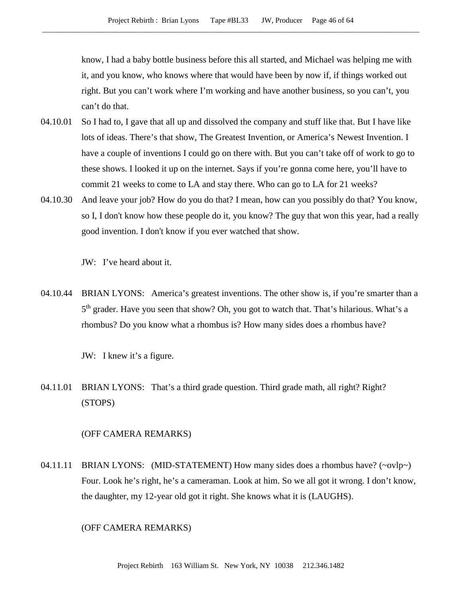know, I had a baby bottle business before this all started, and Michael was helping me with it, and you know, who knows where that would have been by now if, if things worked out right. But you can't work where I'm working and have another business, so you can't, you can't do that.

- 04.10.01 So I had to, I gave that all up and dissolved the company and stuff like that. But I have like lots of ideas. There's that show, The Greatest Invention, or America's Newest Invention. I have a couple of inventions I could go on there with. But you can't take off of work to go to these shows. I looked it up on the internet. Says if you're gonna come here, you'll have to commit 21 weeks to come to LA and stay there. Who can go to LA for 21 weeks?
- 04.10.30 And leave your job? How do you do that? I mean, how can you possibly do that? You know, so I, I don't know how these people do it, you know? The guy that won this year, had a really good invention. I don't know if you ever watched that show.

JW: I've heard about it.

04.10.44 BRIAN LYONS: America's greatest inventions. The other show is, if you're smarter than a 5<sup>th</sup> grader. Have you seen that show? Oh, you got to watch that. That's hilarious. What's a rhombus? Do you know what a rhombus is? How many sides does a rhombus have?

JW: I knew it's a figure.

04.11.01 BRIAN LYONS: That's a third grade question. Third grade math, all right? Right? (STOPS)

### (OFF CAMERA REMARKS)

04.11.11 BRIAN LYONS: (MID-STATEMENT) How many sides does a rhombus have? (~ovlp~) Four. Look he's right, he's a cameraman. Look at him. So we all got it wrong. I don't know, the daughter, my 12-year old got it right. She knows what it is (LAUGHS).

## (OFF CAMERA REMARKS)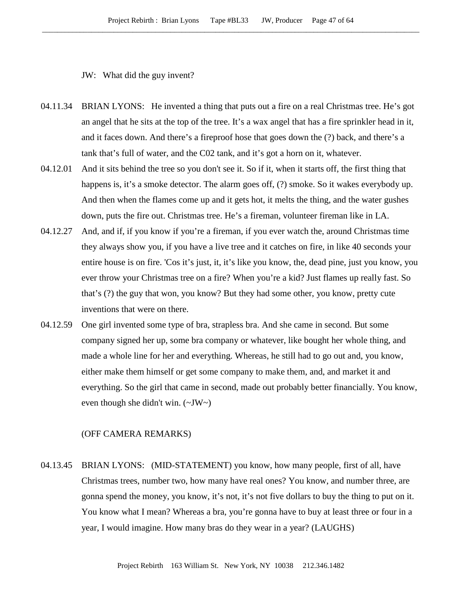JW: What did the guy invent?

- 04.11.34 BRIAN LYONS: He invented a thing that puts out a fire on a real Christmas tree. He's got an angel that he sits at the top of the tree. It's a wax angel that has a fire sprinkler head in it, and it faces down. And there's a fireproof hose that goes down the (?) back, and there's a tank that's full of water, and the C02 tank, and it's got a horn on it, whatever.
- 04.12.01 And it sits behind the tree so you don't see it. So if it, when it starts off, the first thing that happens is, it's a smoke detector. The alarm goes off, (?) smoke. So it wakes everybody up. And then when the flames come up and it gets hot, it melts the thing, and the water gushes down, puts the fire out. Christmas tree. He's a fireman, volunteer fireman like in LA.
- 04.12.27 And, and if, if you know if you're a fireman, if you ever watch the, around Christmas time they always show you, if you have a live tree and it catches on fire, in like 40 seconds your entire house is on fire. 'Cos it's just, it, it's like you know, the, dead pine, just you know, you ever throw your Christmas tree on a fire? When you're a kid? Just flames up really fast. So that's (?) the guy that won, you know? But they had some other, you know, pretty cute inventions that were on there.
- 04.12.59 One girl invented some type of bra, strapless bra. And she came in second. But some company signed her up, some bra company or whatever, like bought her whole thing, and made a whole line for her and everything. Whereas, he still had to go out and, you know, either make them himself or get some company to make them, and, and market it and everything. So the girl that came in second, made out probably better financially. You know, even though she didn't win.  $(\sim JW \sim)$

### (OFF CAMERA REMARKS)

04.13.45 BRIAN LYONS: (MID-STATEMENT) you know, how many people, first of all, have Christmas trees, number two, how many have real ones? You know, and number three, are gonna spend the money, you know, it's not, it's not five dollars to buy the thing to put on it. You know what I mean? Whereas a bra, you're gonna have to buy at least three or four in a year, I would imagine. How many bras do they wear in a year? (LAUGHS)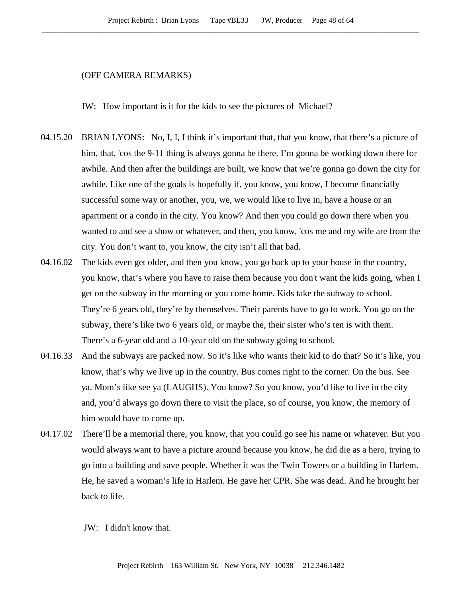### (OFF CAMERA REMARKS)

JW: How important is it for the kids to see the pictures of Michael?

- 04.15.20 BRIAN LYONS: No, I, I, I think it's important that, that you know, that there's a picture of him, that, 'cos the 9-11 thing is always gonna be there. I'm gonna be working down there for awhile. And then after the buildings are built, we know that we're gonna go down the city for awhile. Like one of the goals is hopefully if, you know, you know, I become financially successful some way or another, you, we, we would like to live in, have a house or an apartment or a condo in the city. You know? And then you could go down there when you wanted to and see a show or whatever, and then, you know, 'cos me and my wife are from the city. You don't want to, you know, the city isn't all that bad.
- 04.16.02 The kids even get older, and then you know, you go back up to your house in the country, you know, that's where you have to raise them because you don't want the kids going, when I get on the subway in the morning or you come home. Kids take the subway to school. They're 6 years old, they're by themselves. Their parents have to go to work. You go on the subway, there's like two 6 years old, or maybe the, their sister who's ten is with them. There's a 6-year old and a 10-year old on the subway going to school.
- 04.16.33 And the subways are packed now. So it's like who wants their kid to do that? So it's like, you know, that's why we live up in the country. Bus comes right to the corner. On the bus. See ya. Mom's like see ya (LAUGHS). You know? So you know, you'd like to live in the city and, you'd always go down there to visit the place, so of course, you know, the memory of him would have to come up.
- 04.17.02 There'll be a memorial there, you know, that you could go see his name or whatever. But you would always want to have a picture around because you know, he did die as a hero, trying to go into a building and save people. Whether it was the Twin Towers or a building in Harlem. He, he saved a woman's life in Harlem. He gave her CPR. She was dead. And he brought her back to life.

JW: I didn't know that.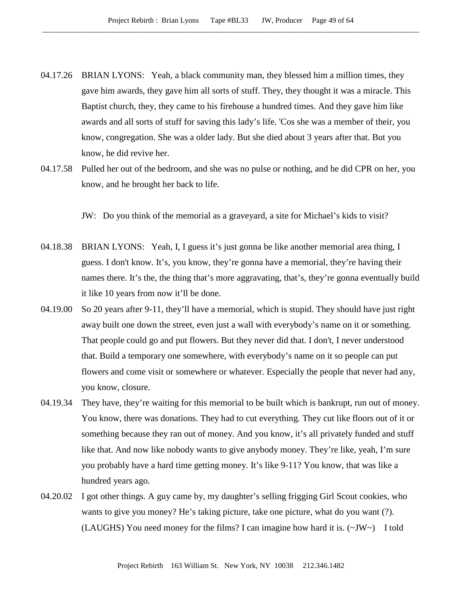- 04.17.26 BRIAN LYONS: Yeah, a black community man, they blessed him a million times, they gave him awards, they gave him all sorts of stuff. They, they thought it was a miracle. This Baptist church, they, they came to his firehouse a hundred times. And they gave him like awards and all sorts of stuff for saving this lady's life. 'Cos she was a member of their, you know, congregation. She was a older lady. But she died about 3 years after that. But you know, he did revive her.
- 04.17.58 Pulled her out of the bedroom, and she was no pulse or nothing, and he did CPR on her, you know, and he brought her back to life.

JW: Do you think of the memorial as a graveyard, a site for Michael's kids to visit?

- 04.18.38 BRIAN LYONS: Yeah, I, I guess it's just gonna be like another memorial area thing, I guess. I don't know. It's, you know, they're gonna have a memorial, they're having their names there. It's the, the thing that's more aggravating, that's, they're gonna eventually build it like 10 years from now it'll be done.
- 04.19.00 So 20 years after 9-11, they'll have a memorial, which is stupid. They should have just right away built one down the street, even just a wall with everybody's name on it or something. That people could go and put flowers. But they never did that. I don't, I never understood that. Build a temporary one somewhere, with everybody's name on it so people can put flowers and come visit or somewhere or whatever. Especially the people that never had any, you know, closure.
- 04.19.34 They have, they're waiting for this memorial to be built which is bankrupt, run out of money. You know, there was donations. They had to cut everything. They cut like floors out of it or something because they ran out of money. And you know, it's all privately funded and stuff like that. And now like nobody wants to give anybody money. They're like, yeah, I'm sure you probably have a hard time getting money. It's like 9-11? You know, that was like a hundred years ago.
- 04.20.02 I got other things. A guy came by, my daughter's selling frigging Girl Scout cookies, who wants to give you money? He's taking picture, take one picture, what do you want (?). (LAUGHS) You need money for the films? I can imagine how hard it is.  $(\sim JW \sim)$  I told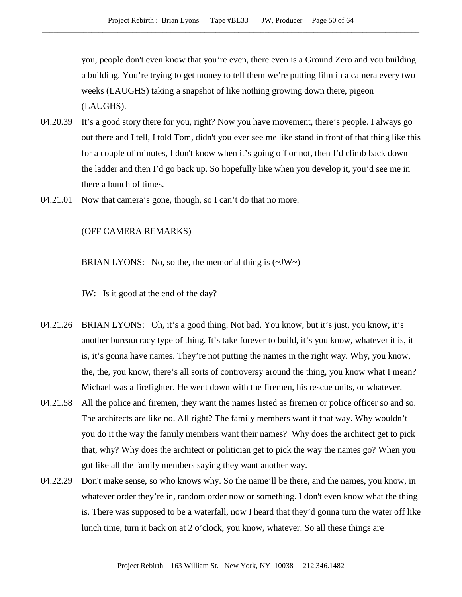you, people don't even know that you're even, there even is a Ground Zero and you building a building. You're trying to get money to tell them we're putting film in a camera every two weeks (LAUGHS) taking a snapshot of like nothing growing down there, pigeon (LAUGHS).

- 04.20.39 It's a good story there for you, right? Now you have movement, there's people. I always go out there and I tell, I told Tom, didn't you ever see me like stand in front of that thing like this for a couple of minutes, I don't know when it's going off or not, then I'd climb back down the ladder and then I'd go back up. So hopefully like when you develop it, you'd see me in there a bunch of times.
- 04.21.01 Now that camera's gone, though, so I can't do that no more.

#### (OFF CAMERA REMARKS)

BRIAN LYONS: No, so the, the memorial thing is  $(\sim JW \sim)$ 

- JW: Is it good at the end of the day?
- 04.21.26 BRIAN LYONS: Oh, it's a good thing. Not bad. You know, but it's just, you know, it's another bureaucracy type of thing. It's take forever to build, it's you know, whatever it is, it is, it's gonna have names. They're not putting the names in the right way. Why, you know, the, the, you know, there's all sorts of controversy around the thing, you know what I mean? Michael was a firefighter. He went down with the firemen, his rescue units, or whatever.
- 04.21.58 All the police and firemen, they want the names listed as firemen or police officer so and so. The architects are like no. All right? The family members want it that way. Why wouldn't you do it the way the family members want their names? Why does the architect get to pick that, why? Why does the architect or politician get to pick the way the names go? When you got like all the family members saying they want another way.
- 04.22.29 Don't make sense, so who knows why. So the name'll be there, and the names, you know, in whatever order they're in, random order now or something. I don't even know what the thing is. There was supposed to be a waterfall, now I heard that they'd gonna turn the water off like lunch time, turn it back on at 2 o'clock, you know, whatever. So all these things are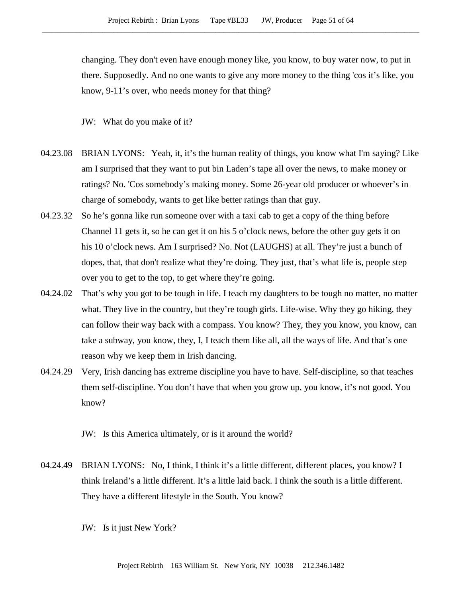changing. They don't even have enough money like, you know, to buy water now, to put in there. Supposedly. And no one wants to give any more money to the thing 'cos it's like, you know, 9-11's over, who needs money for that thing?

JW: What do you make of it?

- 04.23.08 BRIAN LYONS: Yeah, it, it's the human reality of things, you know what I'm saying? Like am I surprised that they want to put bin Laden's tape all over the news, to make money or ratings? No. 'Cos somebody's making money. Some 26-year old producer or whoever's in charge of somebody, wants to get like better ratings than that guy.
- 04.23.32 So he's gonna like run someone over with a taxi cab to get a copy of the thing before Channel 11 gets it, so he can get it on his 5 o'clock news, before the other guy gets it on his 10 o'clock news. Am I surprised? No. Not (LAUGHS) at all. They're just a bunch of dopes, that, that don't realize what they're doing. They just, that's what life is, people step over you to get to the top, to get where they're going.
- 04.24.02 That's why you got to be tough in life. I teach my daughters to be tough no matter, no matter what. They live in the country, but they're tough girls. Life-wise. Why they go hiking, they can follow their way back with a compass. You know? They, they you know, you know, can take a subway, you know, they, I, I teach them like all, all the ways of life. And that's one reason why we keep them in Irish dancing.
- 04.24.29 Very, Irish dancing has extreme discipline you have to have. Self-discipline, so that teaches them self-discipline. You don't have that when you grow up, you know, it's not good. You know?

JW: Is this America ultimately, or is it around the world?

04.24.49 BRIAN LYONS: No, I think, I think it's a little different, different places, you know? I think Ireland's a little different. It's a little laid back. I think the south is a little different. They have a different lifestyle in the South. You know?

JW: Is it just New York?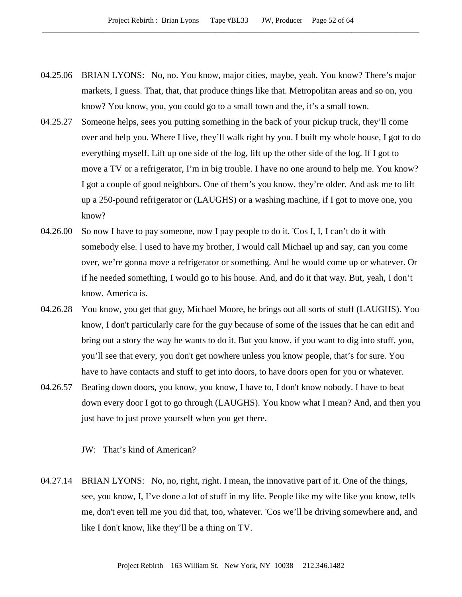- 04.25.06 BRIAN LYONS: No, no. You know, major cities, maybe, yeah. You know? There's major markets, I guess. That, that, that produce things like that. Metropolitan areas and so on, you know? You know, you, you could go to a small town and the, it's a small town.
- 04.25.27 Someone helps, sees you putting something in the back of your pickup truck, they'll come over and help you. Where I live, they'll walk right by you. I built my whole house, I got to do everything myself. Lift up one side of the log, lift up the other side of the log. If I got to move a TV or a refrigerator, I'm in big trouble. I have no one around to help me. You know? I got a couple of good neighbors. One of them's you know, they're older. And ask me to lift up a 250-pound refrigerator or (LAUGHS) or a washing machine, if I got to move one, you know?
- 04.26.00 So now I have to pay someone, now I pay people to do it. 'Cos I, I, I can't do it with somebody else. I used to have my brother, I would call Michael up and say, can you come over, we're gonna move a refrigerator or something. And he would come up or whatever. Or if he needed something, I would go to his house. And, and do it that way. But, yeah, I don't know. America is.
- 04.26.28 You know, you get that guy, Michael Moore, he brings out all sorts of stuff (LAUGHS). You know, I don't particularly care for the guy because of some of the issues that he can edit and bring out a story the way he wants to do it. But you know, if you want to dig into stuff, you, you'll see that every, you don't get nowhere unless you know people, that's for sure. You have to have contacts and stuff to get into doors, to have doors open for you or whatever.
- 04.26.57 Beating down doors, you know, you know, I have to, I don't know nobody. I have to beat down every door I got to go through (LAUGHS). You know what I mean? And, and then you just have to just prove yourself when you get there.

JW: That's kind of American?

04.27.14 BRIAN LYONS: No, no, right, right. I mean, the innovative part of it. One of the things, see, you know, I, I've done a lot of stuff in my life. People like my wife like you know, tells me, don't even tell me you did that, too, whatever. 'Cos we'll be driving somewhere and, and like I don't know, like they'll be a thing on TV.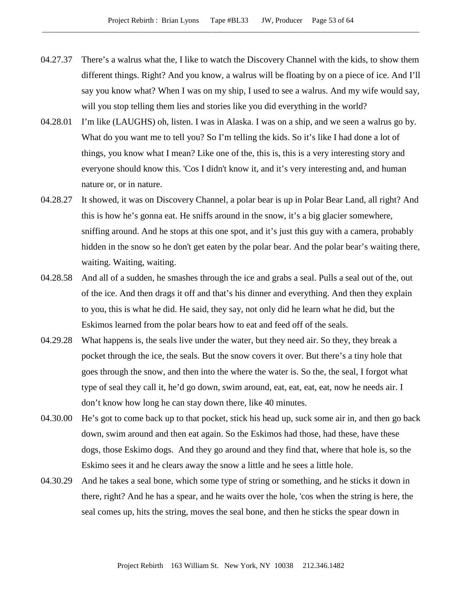- 04.27.37 There's a walrus what the, I like to watch the Discovery Channel with the kids, to show them different things. Right? And you know, a walrus will be floating by on a piece of ice. And I'll say you know what? When I was on my ship, I used to see a walrus. And my wife would say, will you stop telling them lies and stories like you did everything in the world?
- 04.28.01 I'm like (LAUGHS) oh, listen. I was in Alaska. I was on a ship, and we seen a walrus go by. What do you want me to tell you? So I'm telling the kids. So it's like I had done a lot of things, you know what I mean? Like one of the, this is, this is a very interesting story and everyone should know this. 'Cos I didn't know it, and it's very interesting and, and human nature or, or in nature.
- 04.28.27 It showed, it was on Discovery Channel, a polar bear is up in Polar Bear Land, all right? And this is how he's gonna eat. He sniffs around in the snow, it's a big glacier somewhere, sniffing around. And he stops at this one spot, and it's just this guy with a camera, probably hidden in the snow so he don't get eaten by the polar bear. And the polar bear's waiting there, waiting. Waiting, waiting.
- 04.28.58 And all of a sudden, he smashes through the ice and grabs a seal. Pulls a seal out of the, out of the ice. And then drags it off and that's his dinner and everything. And then they explain to you, this is what he did. He said, they say, not only did he learn what he did, but the Eskimos learned from the polar bears how to eat and feed off of the seals.
- 04.29.28 What happens is, the seals live under the water, but they need air. So they, they break a pocket through the ice, the seals. But the snow covers it over. But there's a tiny hole that goes through the snow, and then into the where the water is. So the, the seal, I forgot what type of seal they call it, he'd go down, swim around, eat, eat, eat, eat, now he needs air. I don't know how long he can stay down there, like 40 minutes.
- 04.30.00 He's got to come back up to that pocket, stick his head up, suck some air in, and then go back down, swim around and then eat again. So the Eskimos had those, had these, have these dogs, those Eskimo dogs. And they go around and they find that, where that hole is, so the Eskimo sees it and he clears away the snow a little and he sees a little hole.
- 04.30.29 And he takes a seal bone, which some type of string or something, and he sticks it down in there, right? And he has a spear, and he waits over the hole, 'cos when the string is here, the seal comes up, hits the string, moves the seal bone, and then he sticks the spear down in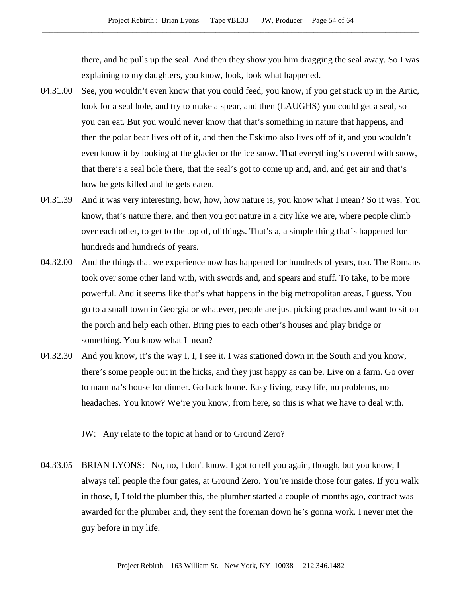there, and he pulls up the seal. And then they show you him dragging the seal away. So I was explaining to my daughters, you know, look, look what happened.

- 04.31.00 See, you wouldn't even know that you could feed, you know, if you get stuck up in the Artic, look for a seal hole, and try to make a spear, and then (LAUGHS) you could get a seal, so you can eat. But you would never know that that's something in nature that happens, and then the polar bear lives off of it, and then the Eskimo also lives off of it, and you wouldn't even know it by looking at the glacier or the ice snow. That everything's covered with snow, that there's a seal hole there, that the seal's got to come up and, and, and get air and that's how he gets killed and he gets eaten.
- 04.31.39 And it was very interesting, how, how, how nature is, you know what I mean? So it was. You know, that's nature there, and then you got nature in a city like we are, where people climb over each other, to get to the top of, of things. That's a, a simple thing that's happened for hundreds and hundreds of years.
- 04.32.00 And the things that we experience now has happened for hundreds of years, too. The Romans took over some other land with, with swords and, and spears and stuff. To take, to be more powerful. And it seems like that's what happens in the big metropolitan areas, I guess. You go to a small town in Georgia or whatever, people are just picking peaches and want to sit on the porch and help each other. Bring pies to each other's houses and play bridge or something. You know what I mean?
- 04.32.30 And you know, it's the way I, I, I see it. I was stationed down in the South and you know, there's some people out in the hicks, and they just happy as can be. Live on a farm. Go over to mamma's house for dinner. Go back home. Easy living, easy life, no problems, no headaches. You know? We're you know, from here, so this is what we have to deal with.

JW: Any relate to the topic at hand or to Ground Zero?

04.33.05 BRIAN LYONS: No, no, I don't know. I got to tell you again, though, but you know, I always tell people the four gates, at Ground Zero. You're inside those four gates. If you walk in those, I, I told the plumber this, the plumber started a couple of months ago, contract was awarded for the plumber and, they sent the foreman down he's gonna work. I never met the guy before in my life.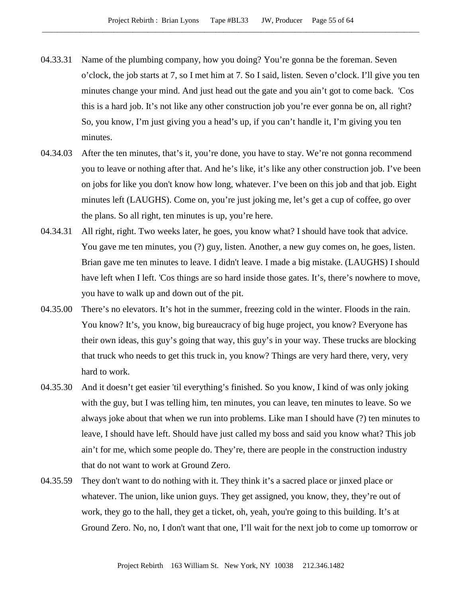- 04.33.31 Name of the plumbing company, how you doing? You're gonna be the foreman. Seven o'clock, the job starts at 7, so I met him at 7. So I said, listen. Seven o'clock. I'll give you ten minutes change your mind. And just head out the gate and you ain't got to come back. 'Cos this is a hard job. It's not like any other construction job you're ever gonna be on, all right? So, you know, I'm just giving you a head's up, if you can't handle it, I'm giving you ten minutes.
- 04.34.03 After the ten minutes, that's it, you're done, you have to stay. We're not gonna recommend you to leave or nothing after that. And he's like, it's like any other construction job. I've been on jobs for like you don't know how long, whatever. I've been on this job and that job. Eight minutes left (LAUGHS). Come on, you're just joking me, let's get a cup of coffee, go over the plans. So all right, ten minutes is up, you're here.
- 04.34.31 All right, right. Two weeks later, he goes, you know what? I should have took that advice. You gave me ten minutes, you (?) guy, listen. Another, a new guy comes on, he goes, listen. Brian gave me ten minutes to leave. I didn't leave. I made a big mistake. (LAUGHS) I should have left when I left. 'Cos things are so hard inside those gates. It's, there's nowhere to move, you have to walk up and down out of the pit.
- 04.35.00 There's no elevators. It's hot in the summer, freezing cold in the winter. Floods in the rain. You know? It's, you know, big bureaucracy of big huge project, you know? Everyone has their own ideas, this guy's going that way, this guy's in your way. These trucks are blocking that truck who needs to get this truck in, you know? Things are very hard there, very, very hard to work.
- 04.35.30 And it doesn't get easier 'til everything's finished. So you know, I kind of was only joking with the guy, but I was telling him, ten minutes, you can leave, ten minutes to leave. So we always joke about that when we run into problems. Like man I should have (?) ten minutes to leave, I should have left. Should have just called my boss and said you know what? This job ain't for me, which some people do. They're, there are people in the construction industry that do not want to work at Ground Zero.
- 04.35.59 They don't want to do nothing with it. They think it's a sacred place or jinxed place or whatever. The union, like union guys. They get assigned, you know, they, they're out of work, they go to the hall, they get a ticket, oh, yeah, you're going to this building. It's at Ground Zero. No, no, I don't want that one, I'll wait for the next job to come up tomorrow or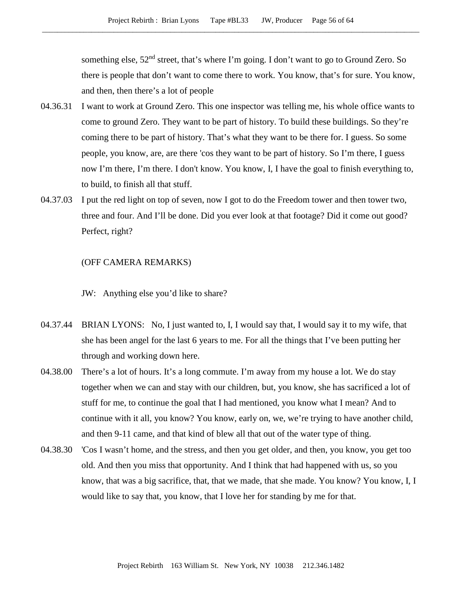something else,  $52<sup>nd</sup>$  street, that's where I'm going. I don't want to go to Ground Zero. So there is people that don't want to come there to work. You know, that's for sure. You know, and then, then there's a lot of people

- 04.36.31 I want to work at Ground Zero. This one inspector was telling me, his whole office wants to come to ground Zero. They want to be part of history. To build these buildings. So they're coming there to be part of history. That's what they want to be there for. I guess. So some people, you know, are, are there 'cos they want to be part of history. So I'm there, I guess now I'm there, I'm there. I don't know. You know, I, I have the goal to finish everything to, to build, to finish all that stuff.
- 04.37.03 I put the red light on top of seven, now I got to do the Freedom tower and then tower two, three and four. And I'll be done. Did you ever look at that footage? Did it come out good? Perfect, right?

# (OFF CAMERA REMARKS)

JW: Anything else you'd like to share?

- 04.37.44 BRIAN LYONS: No, I just wanted to, I, I would say that, I would say it to my wife, that she has been angel for the last 6 years to me. For all the things that I've been putting her through and working down here.
- 04.38.00 There's a lot of hours. It's a long commute. I'm away from my house a lot. We do stay together when we can and stay with our children, but, you know, she has sacrificed a lot of stuff for me, to continue the goal that I had mentioned, you know what I mean? And to continue with it all, you know? You know, early on, we, we're trying to have another child, and then 9-11 came, and that kind of blew all that out of the water type of thing.
- 04.38.30 'Cos I wasn't home, and the stress, and then you get older, and then, you know, you get too old. And then you miss that opportunity. And I think that had happened with us, so you know, that was a big sacrifice, that, that we made, that she made. You know? You know, I, I would like to say that, you know, that I love her for standing by me for that.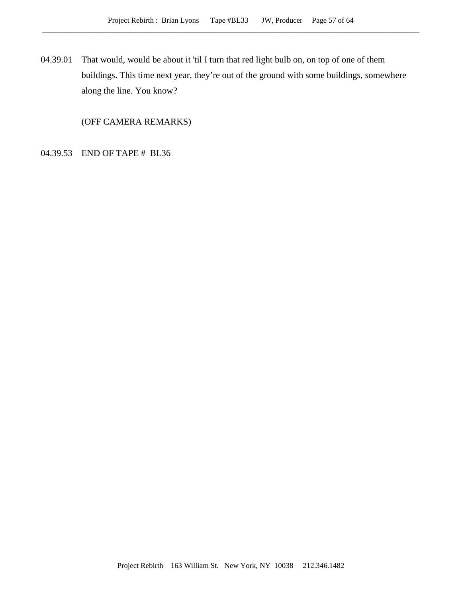04.39.01 That would, would be about it 'til I turn that red light bulb on, on top of one of them buildings. This time next year, they're out of the ground with some buildings, somewhere along the line. You know?

(OFF CAMERA REMARKS)

04.39.53 END OF TAPE # BL36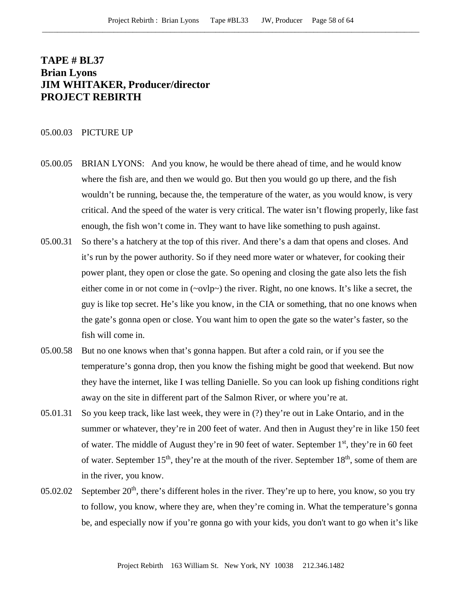# **TAPE # BL37 Brian Lyons JIM WHITAKER, Producer/director PROJECT REBIRTH**

## 05.00.03 PICTURE UP

- 05.00.05 BRIAN LYONS: And you know, he would be there ahead of time, and he would know where the fish are, and then we would go. But then you would go up there, and the fish wouldn't be running, because the, the temperature of the water, as you would know, is very critical. And the speed of the water is very critical. The water isn't flowing properly, like fast enough, the fish won't come in. They want to have like something to push against.
- 05.00.31 So there's a hatchery at the top of this river. And there's a dam that opens and closes. And it's run by the power authority. So if they need more water or whatever, for cooking their power plant, they open or close the gate. So opening and closing the gate also lets the fish either come in or not come in (~ovlp~) the river. Right, no one knows. It's like a secret, the guy is like top secret. He's like you know, in the CIA or something, that no one knows when the gate's gonna open or close. You want him to open the gate so the water's faster, so the fish will come in.
- 05.00.58 But no one knows when that's gonna happen. But after a cold rain, or if you see the temperature's gonna drop, then you know the fishing might be good that weekend. But now they have the internet, like I was telling Danielle. So you can look up fishing conditions right away on the site in different part of the Salmon River, or where you're at.
- 05.01.31 So you keep track, like last week, they were in (?) they're out in Lake Ontario, and in the summer or whatever, they're in 200 feet of water. And then in August they're in like 150 feet of water. The middle of August they're in 90 feet of water. September 1<sup>st</sup>, they're in 60 feet of water. September  $15<sup>th</sup>$ , they're at the mouth of the river. September  $18<sup>th</sup>$ , some of them are in the river, you know.
- 05.02.02 September  $20<sup>th</sup>$ , there's different holes in the river. They're up to here, you know, so you try to follow, you know, where they are, when they're coming in. What the temperature's gonna be, and especially now if you're gonna go with your kids, you don't want to go when it's like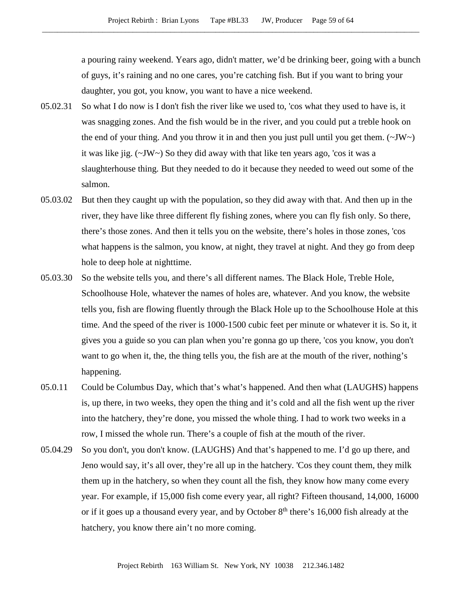a pouring rainy weekend. Years ago, didn't matter, we'd be drinking beer, going with a bunch of guys, it's raining and no one cares, you're catching fish. But if you want to bring your daughter, you got, you know, you want to have a nice weekend.

- 05.02.31 So what I do now is I don't fish the river like we used to, 'cos what they used to have is, it was snagging zones. And the fish would be in the river, and you could put a treble hook on the end of your thing. And you throw it in and then you just pull until you get them. ( $\sim$ JW $\sim$ ) it was like jig. (~JW~) So they did away with that like ten years ago, 'cos it was a slaughterhouse thing. But they needed to do it because they needed to weed out some of the salmon.
- 05.03.02 But then they caught up with the population, so they did away with that. And then up in the river, they have like three different fly fishing zones, where you can fly fish only. So there, there's those zones. And then it tells you on the website, there's holes in those zones, 'cos what happens is the salmon, you know, at night, they travel at night. And they go from deep hole to deep hole at nighttime.
- 05.03.30 So the website tells you, and there's all different names. The Black Hole, Treble Hole, Schoolhouse Hole, whatever the names of holes are, whatever. And you know, the website tells you, fish are flowing fluently through the Black Hole up to the Schoolhouse Hole at this time. And the speed of the river is 1000-1500 cubic feet per minute or whatever it is. So it, it gives you a guide so you can plan when you're gonna go up there, 'cos you know, you don't want to go when it, the, the thing tells you, the fish are at the mouth of the river, nothing's happening.
- 05.0.11 Could be Columbus Day, which that's what's happened. And then what (LAUGHS) happens is, up there, in two weeks, they open the thing and it's cold and all the fish went up the river into the hatchery, they're done, you missed the whole thing. I had to work two weeks in a row, I missed the whole run. There's a couple of fish at the mouth of the river.
- 05.04.29 So you don't, you don't know. (LAUGHS) And that's happened to me. I'd go up there, and Jeno would say, it's all over, they're all up in the hatchery. 'Cos they count them, they milk them up in the hatchery, so when they count all the fish, they know how many come every year. For example, if 15,000 fish come every year, all right? Fifteen thousand, 14,000, 16000 or if it goes up a thousand every year, and by October  $8<sup>th</sup>$  there's 16,000 fish already at the hatchery, you know there ain't no more coming.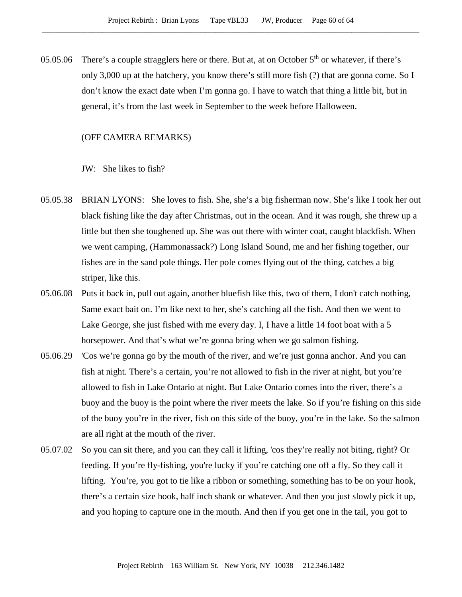05.05.06 There's a couple stragglers here or there. But at, at on October  $5<sup>th</sup>$  or whatever, if there's only 3,000 up at the hatchery, you know there's still more fish (?) that are gonna come. So I don't know the exact date when I'm gonna go. I have to watch that thing a little bit, but in general, it's from the last week in September to the week before Halloween.

## (OFF CAMERA REMARKS)

JW: She likes to fish?

- 05.05.38 BRIAN LYONS: She loves to fish. She, she's a big fisherman now. She's like I took her out black fishing like the day after Christmas, out in the ocean. And it was rough, she threw up a little but then she toughened up. She was out there with winter coat, caught blackfish. When we went camping, (Hammonassack?) Long Island Sound, me and her fishing together, our fishes are in the sand pole things. Her pole comes flying out of the thing, catches a big striper, like this.
- 05.06.08 Puts it back in, pull out again, another bluefish like this, two of them, I don't catch nothing, Same exact bait on. I'm like next to her, she's catching all the fish. And then we went to Lake George, she just fished with me every day. I, I have a little 14 foot boat with a 5 horsepower. And that's what we're gonna bring when we go salmon fishing.
- 05.06.29 'Cos we're gonna go by the mouth of the river, and we're just gonna anchor. And you can fish at night. There's a certain, you're not allowed to fish in the river at night, but you're allowed to fish in Lake Ontario at night. But Lake Ontario comes into the river, there's a buoy and the buoy is the point where the river meets the lake. So if you're fishing on this side of the buoy you're in the river, fish on this side of the buoy, you're in the lake. So the salmon are all right at the mouth of the river.
- 05.07.02 So you can sit there, and you can they call it lifting, 'cos they're really not biting, right? Or feeding. If you're fly-fishing, you're lucky if you're catching one off a fly. So they call it lifting. You're, you got to tie like a ribbon or something, something has to be on your hook, there's a certain size hook, half inch shank or whatever. And then you just slowly pick it up, and you hoping to capture one in the mouth. And then if you get one in the tail, you got to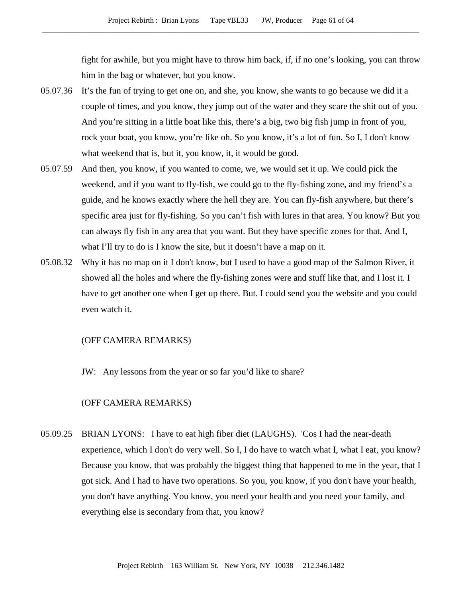fight for awhile, but you might have to throw him back, if, if no one's looking, you can throw him in the bag or whatever, but you know.

- 05.07.36 It's the fun of trying to get one on, and she, you know, she wants to go because we did it a couple of times, and you know, they jump out of the water and they scare the shit out of you. And you're sitting in a little boat like this, there's a big, two big fish jump in front of you, rock your boat, you know, you're like oh. So you know, it's a lot of fun. So I, I don't know what weekend that is, but it, you know, it, it would be good.
- 05.07.59 And then, you know, if you wanted to come, we, we would set it up. We could pick the weekend, and if you want to fly-fish, we could go to the fly-fishing zone, and my friend's a guide, and he knows exactly where the hell they are. You can fly-fish anywhere, but there's specific area just for fly-fishing. So you can't fish with lures in that area. You know? But you can always fly fish in any area that you want. But they have specific zones for that. And I, what I'll try to do is I know the site, but it doesn't have a map on it.
- 05.08.32 Why it has no map on it I don't know, but I used to have a good map of the Salmon River, it showed all the holes and where the fly-fishing zones were and stuff like that, and I lost it. I have to get another one when I get up there. But. I could send you the website and you could even watch it.

#### (OFF CAMERA REMARKS)

JW: Any lessons from the year or so far you'd like to share?

## (OFF CAMERA REMARKS)

05.09.25 BRIAN LYONS: I have to eat high fiber diet (LAUGHS). 'Cos I had the near-death experience, which I don't do very well. So I, I do have to watch what I, what I eat, you know? Because you know, that was probably the biggest thing that happened to me in the year, that I got sick. And I had to have two operations. So you, you know, if you don't have your health, you don't have anything. You know, you need your health and you need your family, and everything else is secondary from that, you know?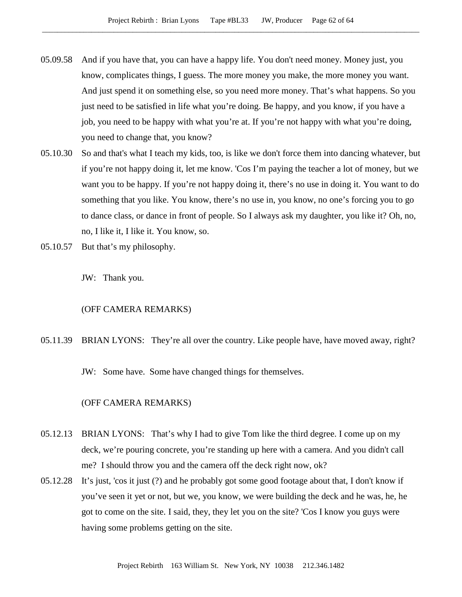- 05.09.58 And if you have that, you can have a happy life. You don't need money. Money just, you know, complicates things, I guess. The more money you make, the more money you want. And just spend it on something else, so you need more money. That's what happens. So you just need to be satisfied in life what you're doing. Be happy, and you know, if you have a job, you need to be happy with what you're at. If you're not happy with what you're doing, you need to change that, you know?
- 05.10.30 So and that's what I teach my kids, too, is like we don't force them into dancing whatever, but if you're not happy doing it, let me know. 'Cos I'm paying the teacher a lot of money, but we want you to be happy. If you're not happy doing it, there's no use in doing it. You want to do something that you like. You know, there's no use in, you know, no one's forcing you to go to dance class, or dance in front of people. So I always ask my daughter, you like it? Oh, no, no, I like it, I like it. You know, so.
- 05.10.57 But that's my philosophy.

JW: Thank you.

(OFF CAMERA REMARKS)

05.11.39 BRIAN LYONS: They're all over the country. Like people have, have moved away, right?

JW: Some have. Some have changed things for themselves.

# (OFF CAMERA REMARKS)

- 05.12.13 BRIAN LYONS: That's why I had to give Tom like the third degree. I come up on my deck, we're pouring concrete, you're standing up here with a camera. And you didn't call me? I should throw you and the camera off the deck right now, ok?
- 05.12.28 It's just, 'cos it just (?) and he probably got some good footage about that, I don't know if you've seen it yet or not, but we, you know, we were building the deck and he was, he, he got to come on the site. I said, they, they let you on the site? 'Cos I know you guys were having some problems getting on the site.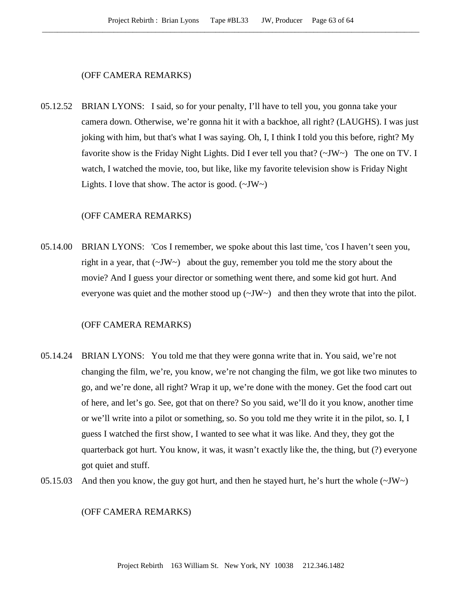### (OFF CAMERA REMARKS)

05.12.52 BRIAN LYONS: I said, so for your penalty, I'll have to tell you, you gonna take your camera down. Otherwise, we're gonna hit it with a backhoe, all right? (LAUGHS). I was just joking with him, but that's what I was saying. Oh, I, I think I told you this before, right? My favorite show is the Friday Night Lights. Did I ever tell you that? (~JW~) The one on TV. I watch, I watched the movie, too, but like, like my favorite television show is Friday Night Lights. I love that show. The actor is good.  $(\sim JW)$ 

# (OFF CAMERA REMARKS)

05.14.00 BRIAN LYONS: 'Cos I remember, we spoke about this last time, 'cos I haven't seen you, right in a year, that  $(\sim JW)$  about the guy, remember you told me the story about the movie? And I guess your director or something went there, and some kid got hurt. And everyone was quiet and the mother stood up  $(\sim JW \sim)$  and then they wrote that into the pilot.

## (OFF CAMERA REMARKS)

- 05.14.24 BRIAN LYONS: You told me that they were gonna write that in. You said, we're not changing the film, we're, you know, we're not changing the film, we got like two minutes to go, and we're done, all right? Wrap it up, we're done with the money. Get the food cart out of here, and let's go. See, got that on there? So you said, we'll do it you know, another time or we'll write into a pilot or something, so. So you told me they write it in the pilot, so. I, I guess I watched the first show, I wanted to see what it was like. And they, they got the quarterback got hurt. You know, it was, it wasn't exactly like the, the thing, but (?) everyone got quiet and stuff.
- 05.15.03 And then you know, the guy got hurt, and then he stayed hurt, he's hurt the whole  $(\sim JW)$

## (OFF CAMERA REMARKS)